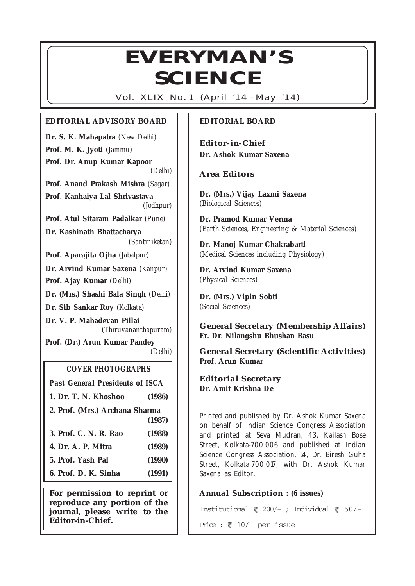# $1 \cdot 8$  $|\sqrt{\left( \begin{array}{cc} \text{EVERYMAN'S} \end{array} \right|}$ **SCIENCE**

12345678901234567890123456789012123456789012345678901234567890121234567890123456789012345678

Vol. XLIX No. 1 (April '14 – May '14)

#### **EDITORIAL ADVISORY BOARD**

**Dr. S. K. Mahapatra** *(New Delhi)* **Prof. M. K. Jyoti** *(Jammu)* **Prof. Dr. Anup Kumar Kapoor** *(Delhi)* **Prof. Anand Prakash Mishra** *(Sagar)* **Prof. Kanhaiya Lal Shrivastava** *(Jodhpur)* **Prof. Atul Sitaram Padalkar** *(Pune)* **Dr. Kashinath Bhattacharya** *(Santiniketan)* **Prof. Aparajita Ojha** *(Jabalpur)* **Dr. Arvind Kumar Saxena** *(Kanpur)* **Prof. Ajay Kumar** *(Delhi)* **Dr. (Mrs.) Shashi Bala Singh** *(Delhi)* **Dr. Sib Sankar Roy** *(Kolkata)* **Dr. V. P. Mahadevan Pillai** *(Thiruvananthapuram)* **Prof. (Dr.) Arun Kumar Pandey**

*(Delhi)*

#### **COVER PHOTOGRAPHS**

*Past General Presidents of ISCA*

- **1. Dr. T. N. Khoshoo (1986)**
- **2. Prof. (Mrs.) Archana Sharma (1987)**
- **3. Prof. C. N. R. Rao (1988)**
- **4. Dr. A. P. Mitra (1989)**
- **5. Prof. Yash Pal (1990)**

**6. Prof. D. K. Sinha (1991)**

**For permission to reprint or reproduce any portion of the journal, please write to the Editor-in-Chief.**

#### **EDITORIAL BOARD**

*Editor-in-Chief* **Dr. Ashok Kumar Saxena**

#### *Area Editors*

**Dr. (Mrs.) Vijay Laxmi Saxena** *(Biological Sciences)*

**Dr. Pramod Kumar Verma** *(Earth Sciences, Engineering & Material Sciences)*

**Dr. Manoj Kumar Chakrabarti** *(Medical Sciences including Physiology)*

**Dr. Arvind Kumar Saxena** *(Physical Sciences)*

**Dr. (Mrs.) Vipin Sobti** *(Social Sciences)*

*General Secretary (Membership Affairs)* **Er. Dr. Nilangshu Bhushan Basu**

*General Secretary (Scientific Activities)* **Prof. Arun Kumar**

*Editorial Secretary* **Dr. Amit Krishna De**

Printed and published by Dr. Ashok Kumar Saxena on behalf of Indian Science Congress Association and printed at Seva Mudran, 43, Kailash Bose Street, Kolkata-700 006 and published at Indian Science Congress Association, 14, Dr. Biresh Guha Street, Kolkata-700 017, with Dr. Ashok Kumar Saxena as Editor.

#### *Annual Subscription :* **(6 issues)**

Institutional  $\sqrt{200/-}$ ; Individual  $\sqrt{50/-}$ 

Price :  $\sqrt{10/-}$  per issue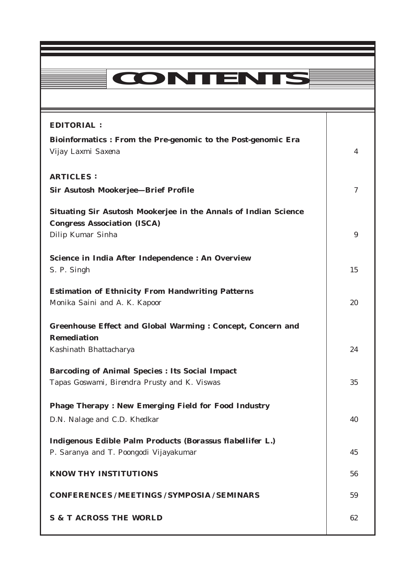| <b>CONTENTS</b>                                                                                       |    |
|-------------------------------------------------------------------------------------------------------|----|
| <b>EDITORIAL:</b>                                                                                     |    |
| Bioinformatics : From the Pre-genomic to the Post-genomic Era<br>Vijay Laxmi Saxena                   | 4  |
| <b>ARTICLES:</b>                                                                                      |    |
| Sir Asutosh Mookerjee-Brief Profile                                                                   | 7  |
| Situating Sir Asutosh Mookerjee in the Annals of Indian Science<br><b>Congress Association (ISCA)</b> |    |
| Dilip Kumar Sinha                                                                                     | 9  |
| Science in India After Independence : An Overview                                                     |    |
| S. P. Singh                                                                                           | 15 |
| <b>Estimation of Ethnicity From Handwriting Patterns</b>                                              |    |
| Monika Saini and A. K. Kapoor                                                                         | 20 |
| Greenhouse Effect and Global Warming: Concept, Concern and<br><b>Remediation</b>                      |    |
| Kashinath Bhattacharya                                                                                | 24 |
| <b>Barcoding of Animal Species : Its Social Impact</b>                                                |    |
| Tapas Goswami, Birendra Prusty and K. Viswas                                                          | 35 |
| <b>Phage Therapy: New Emerging Field for Food Industry</b>                                            |    |
| D.N. Nalage and C.D. Khedkar                                                                          | 40 |
| Indigenous Edible Palm Products (Borassus flabellifer L.)                                             |    |
| P. Saranya and T. Poongodi Vijayakumar                                                                | 45 |
| <b>KNOW THY INSTITUTIONS</b>                                                                          | 56 |
| <b>CONFERENCES / MEETINGS / SYMPOSIA / SEMINARS</b>                                                   | 59 |
| <b>S &amp; T ACROSS THE WORLD</b>                                                                     | 62 |

12345678901234567890123456789012123456789012345678901234567890121234567890123456789012345678 12345678901234567890123456789012123456789012345678901234567890121234567890123456789012345678  $1.8 \pm 0.000$  and  $1.8 \pm 0.000$  and  $1.8 \pm 0.000$  and  $1.8 \pm 0.000$  and  $1.8 \pm 0.000$  and  $1.8 \pm 0.000$ 1 and 1 and 1 and 1 and 1 and 1 and 1 and 1 and 1 and 1 and 1 and 1 and 1 and 1 and 1 and 1 and 1 and 1 and 1 12345678901234567890123456789012345678901234567890123456789012345678901234567890123456789012345678901234567890 Everyman's Science ScienceVol. XLIX No. 1 April '14 — May '14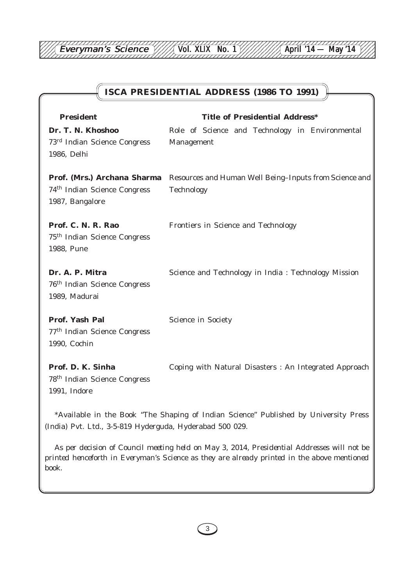## **ISCA PRESIDENTIAL ADDRESS (1986 TO 1991)**

12345678901234567890123456789012123456789012345678901234567890121234567890123456789012345678 Everyman's Science ///// Vol. XLIX No. 1 ///////// April '14 — May '14 ////

| <b>President</b>                                                                           | <b>Title of Presidential Address*</b>                                |
|--------------------------------------------------------------------------------------------|----------------------------------------------------------------------|
| Dr. T. N. Khoshoo<br>73 <sup>rd</sup> Indian Science Congress<br>1986, Delhi               | Role of Science and Technology in Environmental<br>Management        |
| Prof. (Mrs.) Archana Sharma<br>74 <sup>th</sup> Indian Science Congress<br>1987, Bangalore | Resources and Human Well Being-Inputs from Science and<br>Technology |
| Prof. C. N. R. Rao<br>75 <sup>th</sup> Indian Science Congress<br>1988, Pune               | Frontiers in Science and Technology                                  |
| Dr. A. P. Mitra<br>76 <sup>th</sup> Indian Science Congress<br>1989, Madurai               | Science and Technology in India: Technology Mission                  |
| Prof. Yash Pal<br>77 <sup>th</sup> Indian Science Congress<br>1990, Cochin                 | Science in Society                                                   |
| Prof. D. K. Sinha<br>78 <sup>th</sup> Indian Science Congress<br>1991, Indore              | Coping with Natural Disasters: An Integrated Approach                |
| $\blacksquare$<br>$\blacksquare$                                                           | $\mathsf{C}$ T $\mathsf{P}$<br>"T111111<br>TT .                      |

\*Available in the Book "The Shaping of Indian Science" Published by University Press (India) Pvt. Ltd., 3-5-819 Hyderguda, Hyderabad 500 029.

*As per decision of Council meeting held on May 3, 2014, Presidential Addresses will not be printed henceforth in Everyman's Science as they are already printed in the above mentioned book.*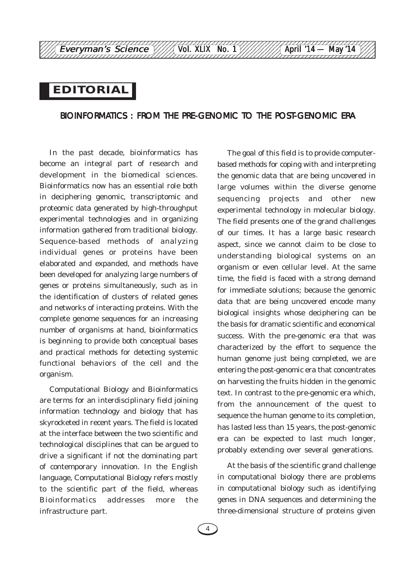# Everyman's Science ///// Vol. XLIX No. 1 ///////// April '14 — May '14 ////

## *EDITORIAL*

#### BIOINFORMATICS : FROM THE PRE-GENOMIC TO THE POST-GENOMIC ERA

12345678901234567890123456789012123456789012345678901234567890121234567890123456789012345678

In the past decade, bioinformatics has become an integral part of research and development in the biomedical sciences. Bioinformatics now has an essential role both in deciphering genomic, transcriptomic and proteomic data generated by high-throughput experimental technologies and in organizing information gathered from traditional biology. Sequence-based methods of analyzing individual genes or proteins have been elaborated and expanded, and methods have been developed for analyzing large numbers of genes or proteins simultaneously, such as in the identification of clusters of related genes and networks of interacting proteins. With the complete genome sequences for an increasing number of organisms at hand, bioinformatics is beginning to provide both conceptual bases and practical methods for detecting systemic functional behaviors of the cell and the organism.

Computational Biology and Bioinformatics are terms for an interdisciplinary field joining information technology and biology that has skyrocketed in recent years. The field is located at the interface between the two scientific and technological disciplines that can be argued to drive a significant if not the dominating part of contemporary innovation. In the English language, Computational Biology refers mostly to the scientific part of the field, whereas Bioinformatics addresses more the infrastructure part.

The goal of this field is to provide computerbased methods for coping with and interpreting the genomic data that are being uncovered in large volumes within the diverse genome sequencing projects and other new experimental technology in molecular biology. The field presents one of the grand challenges of our times. It has a large basic research aspect, since we cannot claim to be close to understanding biological systems on an organism or even cellular level. At the same time, the field is faced with a strong demand for immediate solutions; because the genomic data that are being uncovered encode many biological insights whose deciphering can be the basis for dramatic scientific and economical success. With the pre-genomic era that was characterized by the effort to sequence the human genome just being completed, we are entering the post-genomic era that concentrates on harvesting the fruits hidden in the genomic text. In contrast to the pre-genomic era which, from the announcement of the quest to sequence the human genome to its completion, has lasted less than 15 years, the post-genomic era can be expected to last much longer, probably extending over several generations.

At the basis of the scientific grand challenge in computational biology there are problems in computational biology such as identifying genes in DNA sequences and determining the three-dimensional structure of proteins given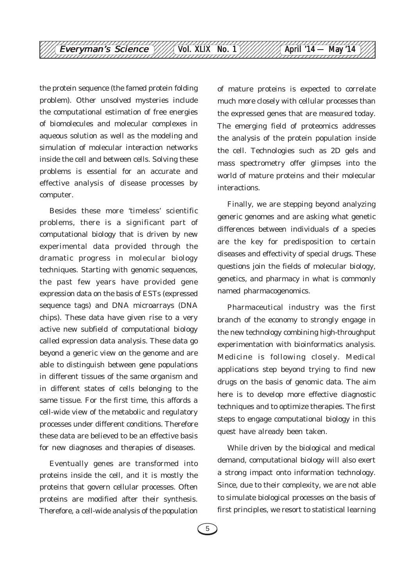12345678901234567890123456789012123456789012345678901234567890121234567890123456789012345678 Everyman's Science ///// Vol. XLIX No. 1 ///////// April '14 — May '14 ////

the protein sequence (the famed protein folding problem). Other unsolved mysteries include the computational estimation of free energies of biomolecules and molecular complexes in aqueous solution as well as the modeling and simulation of molecular interaction networks inside the cell and between cells. Solving these problems is essential for an accurate and effective analysis of disease processes by computer.

Besides these more 'timeless' scientific problems, there is a significant part of computational biology that is driven by new experimental data provided through the dramatic progress in molecular biology techniques. Starting with genomic sequences, the past few years have provided gene expression data on the basis of ESTs (expressed sequence tags) and DNA microarrays (DNA chips). These data have given rise to a very active new subfield of computational biology called expression data analysis. These data go beyond a generic view on the genome and are able to distinguish between gene populations in different tissues of the same organism and in different states of cells belonging to the same tissue. For the first time, this affords a cell-wide view of the metabolic and regulatory processes under different conditions. Therefore these data are believed to be an effective basis for new diagnoses and therapies of diseases.

Eventually genes are transformed into proteins inside the cell, and it is mostly the proteins that govern cellular processes. Often proteins are modified after their synthesis. Therefore, a cell-wide analysis of the population of mature proteins is expected to correlate much more closely with cellular processes than the expressed genes that are measured today. The emerging field of proteomics addresses the analysis of the protein population inside the cell. Technologies such as 2D gels and mass spectrometry offer glimpses into the world of mature proteins and their molecular interactions.

Finally, we are stepping beyond analyzing generic genomes and are asking what genetic differences between individuals of a species are the key for predisposition to certain diseases and effectivity of special drugs. These questions join the fields of molecular biology, genetics, and pharmacy in what is commonly named pharmacogenomics.

Pharmaceutical industry was the first branch of the economy to strongly engage in the new technology combining high-throughput experimentation with bioinformatics analysis. Medicine is following closely. Medical applications step beyond trying to find new drugs on the basis of genomic data. The aim here is to develop more effective diagnostic techniques and to optimize therapies. The first steps to engage computational biology in this quest have already been taken.

While driven by the biological and medical demand, computational biology will also exert a strong impact onto information technology. Since, due to their complexity, we are not able to simulate biological processes on the basis of first principles, we resort to statistical learning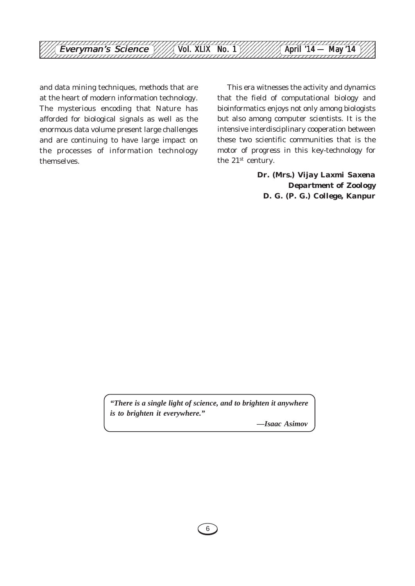

and data mining techniques, methods that are at the heart of modern information technology. The mysterious encoding that Nature has afforded for biological signals as well as the enormous data volume present large challenges and are continuing to have large impact on the processes of information technology themselves.

This era witnesses the activity and dynamics that the field of computational biology and bioinformatics enjoys not only among biologists but also among computer scientists. It is the intensive interdisciplinary cooperation between these two scientific communities that is the motor of progress in this key-technology for the 21st century.

> *Dr. (Mrs.) Vijay Laxmi Saxena Department of Zoology D. G. (P. G.) College, Kanpur*

*"There is a single light of science, and to brighten it anywhere is to brighten it everywhere."*

*—Isaac Asimov*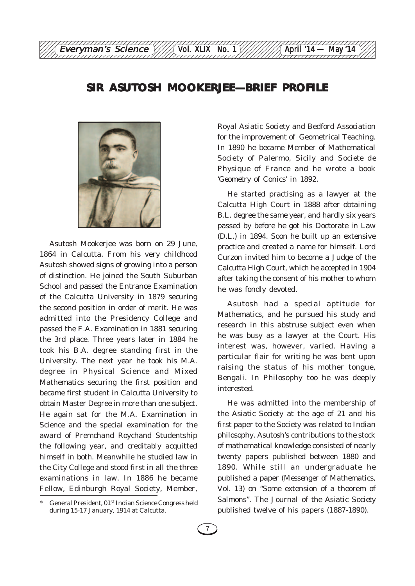## **SIR ASUTOSH MOOKERJEE—BRIEF PROFILE**

12345678901234567890123456789012123456789012345678901234567890121234567890123456789012345678  $1/12$  Everyman's Science  $1/11$  Vol. XLIX No. 1 $1/11/11$  April '14 — May '14  $1/11$ 12345678901234567890123456789012123456789012345678901234567890121234567890123456789012345678



Asutosh Mookerjee was born on 29 June, 1864 in Calcutta. From his very childhood Asutosh showed signs of growing into a person of distinction. He joined the South Suburban School and passed the Entrance Examination of the Calcutta University in 1879 securing the second position in order of merit. He was admitted into the Presidency College and passed the F.A. Examination in 1881 securing the 3rd place. Three years later in 1884 he took his B.A. degree standing first in the University. The next year he took his M.A. degree in Physical Science and Mixed Mathematics securing the first position and became first student in Calcutta University to obtain Master Degree in more than one subject. He again sat for the M.A. Examination in Science and the special examination for the award of Premchand Roychand Studentship the following year, and creditably acquitted himself in both. Meanwhile he studied law in the City College and stood first in all the three examinations in law. In 1886 he became Fellow, Edinburgh Royal Society, Member, Royal Asiatic Society and Bedford Association for the improvement of Geometrical Teaching. In 1890 he became Member of Mathematical Society of Palermo, Sicily and *Societe de Physique* of France and he wrote a book *'Geometry of Conics'* in 1892.

He started practising as a lawyer at the Calcutta High Court in 1888 after obtaining B.L. degree the same year, and hardly six years passed by before he got his Doctorate in Law (D.L.) in 1894. Soon he built up an extensive practice and created a name for himself. Lord Curzon invited him to become a Judge of the Calcutta High Court, which he accepted in 1904 after taking the consent of his mother to whom he was fondly devoted.

Asutosh had a special aptitude for Mathematics, and he pursued his study and research in this abstruse subject even when he was busy as a lawyer at the Court. His interest was, however, varied. Having a particular flair for writing he was bent upon raising the status of his mother tongue, Bengali. In Philosophy too he was deeply interested.

He was admitted into the membership of the Asiatic Society at the age of 21 and his first paper to the Society was related to Indian philosophy. Asutosh's contributions to the stock of mathematical knowledge consisted of nearly twenty papers published between 1880 and 1890. While still an undergraduate he published a paper *(Messenger of Mathematics,* Vol. 13) on "Some extension of a theorem of Salmons". The *Journal of the Asiatic Society* published twelve of his papers (1887-1890).

General President, 01<sup>st</sup> Indian Science Congress held during 15-17 January, 1914 at Calcutta.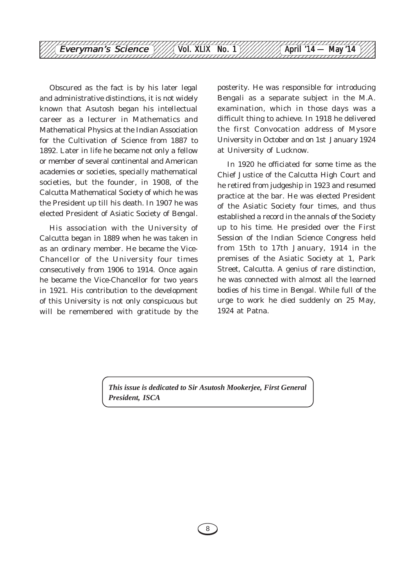

Obscured as the fact is by his later legal and administrative distinctions, it is not widely known that Asutosh began his intellectual career as a lecturer in Mathematics and Mathematical Physics at the Indian Association for the Cultivation of Science from 1887 to 1892. Later in life he became not only a fellow or member of several continental and American academies or societies, specially mathematical societies, but the founder, in 1908, of the Calcutta Mathematical Society of which he was the President up till his death. In 1907 he was elected President of Asiatic Society of Bengal.

His association with the University of Calcutta began in 1889 when he was taken in as an ordinary member. He became the Vice-Chancellor of the University four times consecutively from 1906 to 1914. Once again he became the Vice-Chancellor for two years in 1921. His contribution to the development of this University is not only conspicuous but will be remembered with gratitude by the

posterity. He was responsible for introducing Bengali as a separate subject in the M.A. examination, which in those days was a difficult thing to achieve. In 1918 he delivered the first Convocation address of Mysore University in October and on 1st January 1924 at University of Lucknow.

In 1920 he officiated for some time as the Chief Justice of the Calcutta High Court and he retired from judgeship in 1923 and resumed practice at the bar. He was elected President of the Asiatic Society four times, and thus established a record in the annals of the Society up to his time. He presided over the First Session of the Indian Science Congress held from 15th to 17th January, 1914 in the premises of the Asiatic Society at 1, Park Street, Calcutta. A genius of rare distinction, he was connected with almost all the learned bodies of his time in Bengal. While full of the urge to work he died suddenly on 25 May, 1924 at Patna.

*This issue is dedicated to Sir Asutosh Mookerjee, First General President, ISCA*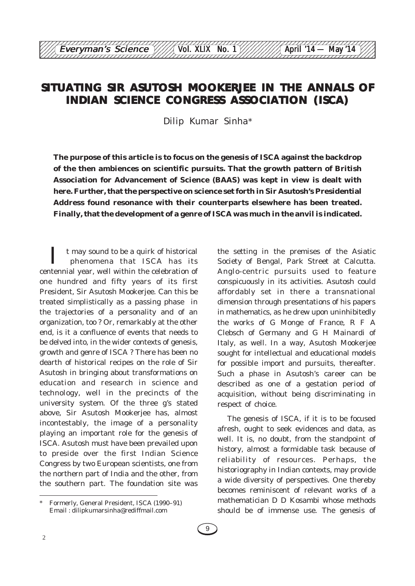**SITUATING SIR ASUTOSH MOOKERJEE IN THE ANNALS OF INDIAN SCIENCE CONGRESS ASSOCIATION (ISCA)** 

12345678901234567890123456789012123456789012345678901234567890121234567890123456789012345678  $1/12$  Everyman's Science  $1/11$  Vol. XLIX No. 1 $1/11/11$  April '14 — May '14  $1/11$ 12345678901234567890123456789012123456789012345678901234567890121234567890123456789012345678

Dilip Kumar Sinha\*

**The purpose of this article is to focus on the genesis of ISCA against the backdrop of the then ambiences on scientific pursuits. That the growth pattern of British Association for Advancement of Science (BAAS) was kept in view is dealt with here. Further, that the perspective on science set forth in Sir Asutosh's Presidential Address found resonance with their counterparts elsewhere has been treated. Finally, that the development of a genre of ISCA was much in the anvil is indicated.**

t may sound to be a quirk of historical phenomena that ISCA has its centennial year, well within the celebration of one hundred and fifty years of its first President, Sir Asutosh Mookerjee. Can this be treated simplistically as a passing phase in the trajectories of a personality and of an organization, too ? Or, remarkably at the other end, is it a confluence of events that needs to be delved into, in the wider contexts of genesis, growth and genre of ISCA ? There has been no dearth of historical recipes on the role of Sir Asutosh in bringing about transformations on education and research in science and technology, well in the precincts of the university system. Of the three g's stated above, Sir Asutosh Mookerjee has, almost incontestably, the image of a personality playing an important role for the genesis of ISCA. Asutosh must have been prevailed upon to preside over the first Indian Science Congress by two European scientists, one from the northern part of India and the other, from the southern part. The foundation site was

the setting in the premises of the Asiatic Society of Bengal, Park Street at Calcutta. Anglo-centric pursuits used to feature conspicuously in its activities. Asutosh could affordably set in there a transnational dimension through presentations of his papers in mathematics, as he drew upon uninhibitedly the works of G Monge of France, R F A Clebsch of Germany and G H Mainardi of Italy, as well. In a way, Asutosh Mookerjee sought for intellectual and educational models for possible import and pursuits, thereafter. Such a phase in Asutosh's career can be described as one of a gestation period of acquisition, without being discriminating in respect of choice.

The genesis of ISCA, if it is to be focused afresh, ought to seek evidences and data, as well. It is, no doubt, from the standpoint of history, almost a formidable task because of reliability of resources. Perhaps, the historiography in Indian contexts, may provide a wide diversity of perspectives. One thereby becomes reminiscent of relevant works of a mathematician D D Kosambi whose methods should be of immense use. The genesis of

<sup>\*</sup> Formerly, General President, ISCA (1990–91) Email : dilipkumarsinha@rediffmail.com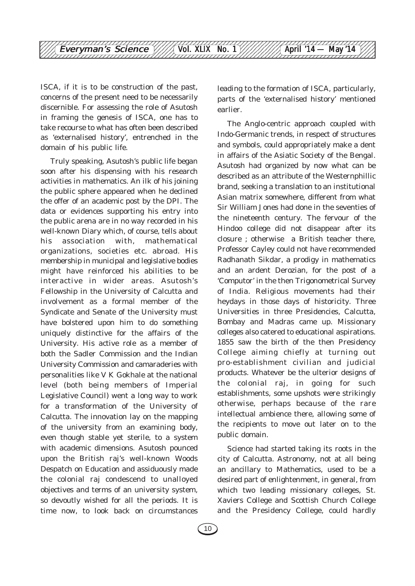

ISCA, if it is to be construction of the past, concerns of the present need to be necessarily discernible. For assessing the role of Asutosh in framing the genesis of ISCA, one has to take recourse to what has often been described as 'externalised history', entrenched in the domain of his public life.

Truly speaking, Asutosh's public life began soon after his dispensing with his research activities in mathematics. An ilk of his joining the public sphere appeared when he declined the offer of an academic post by the DPI. The data or evidences supporting his entry into the public arena are in no way recorded in his well-known Diary which, of course, tells about his association with, mathematical organizations, societies etc. abroad. His membership in municipal and legislative bodies might have reinforced his abilities to be interactive in wider areas. Asutosh's Fellowship in the University of Calcutta and involvement as a formal member of the Syndicate and Senate of the University must have bolstered upon him to do something uniquely distinctive for the affairs of the University. His active role as a member of both the Sadler Commission and the Indian University Commission and camaraderies with personalities like V K Gokhale at the national level (both being members of Imperial Legislative Council) went a long way to work for a transformation of the University of Calcutta. The innovation lay on the mapping of the university from an examining body, even though stable yet sterile, to a system with academic dimensions. Asutosh pounced upon the British raj's well-known Woods Despatch on Education and assiduously made the colonial raj condescend to unalloyed objectives and terms of an university system, so devoutly wished for all the periods. It is time now, to look back on circumstances

leading to the formation of ISCA, particularly, parts of the 'externalised history' mentioned earlier.

The Anglo-centric approach coupled with Indo-Germanic trends, in respect of structures and symbols, could appropriately make a dent in affairs of the Asiatic Society of the Bengal. Asutosh had organized by now what can be described as an attribute of the Westernphillic brand, seeking a translation to an institutional Asian matrix somewhere, different from what Sir William Jones had done in the seventies of the nineteenth century. The fervour of the Hindoo college did not disappear after its closure ; otherwise a British teacher there, Professor Cayley could not have recommended Radhanath Sikdar, a prodigy in mathematics and an ardent Derozian, for the post of a 'Computor' in the then Trigonometrical Survey of India. Religious movements had their heydays in those days of historicity. Three Universities in three Presidencies, Calcutta, Bombay and Madras came up. Missionary colleges also catered to educational aspirations. 1855 saw the birth of the then Presidency College aiming chiefly at turning out pro-establishment civilian and judicial products. Whatever be the ulterior designs of the colonial raj, in going for such establishments, some upshots were strikingly otherwise, perhaps because of the rare intellectual ambience there, allowing some of the recipients to move out later on to the public domain.

Science had started taking its roots in the city of Calcutta. Astronomy, not at all being an ancillary to Mathematics, used to be a desired part of enlightenment, in general, from which two leading missionary colleges, St. Xaviers College and Scottish Church College and the Presidency College, could hardly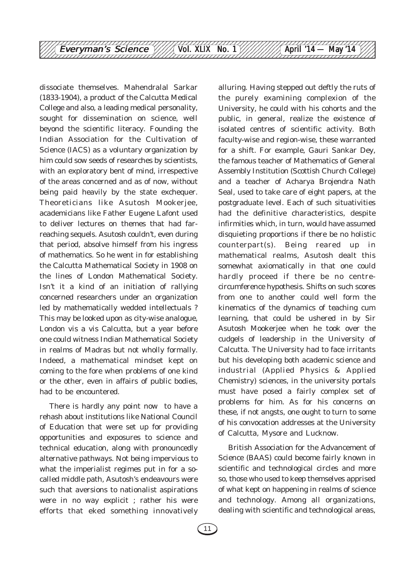

dissociate themselves. Mahendralal Sarkar (1833-1904), a product of the Calcutta Medical College and also, a leading medical personality, sought for dissemination on science, well beyond the scientific literacy. Founding the Indian Association for the Cultivation of Science (IACS) as a voluntary organization by him could sow seeds of researches by scientists, with an exploratory bent of mind, irrespective of the areas concerned and as of now, without being paid heavily by the state exchequer. Theoreticians like Asutosh Mookerjee, academicians like Father Eugene Lafont used to deliver lectures on themes that had farreaching sequels. Asutosh couldn't, even during that period, absolve himself from his ingress of mathematics. So he went in for establishing the Calcutta Mathematical Society in 1908 on the lines of London Mathematical Society. Isn't it a kind of an initiation of rallying concerned researchers under an organization led by mathematically wedded intellectuals ? This may be looked upon as city-wise analogue, London *vis a vis* Calcutta, but a year before one could witness Indian Mathematical Society in realms of Madras but not wholly formally. Indeed, a mathematical mindset kept on coming to the fore when problems of one kind or the other, even in affairs of public bodies, had to be encountered.

There is hardly any point now to have a rehash about institutions like National Council of Education that were set up for providing opportunities and exposures to science and technical education, along with pronouncedly alternative pathways. Not being impervious to what the imperialist regimes put in for a socalled middle path, Asutosh's endeavours were such that aversions to nationalist aspirations were in no way explicit ; rather his were efforts that eked something innovatively

alluring. Having stepped out deftly the ruts of the purely examining complexion of the University, he could with his cohorts and the public, in general, realize the existence of isolated centres of scientific activity. Both faculty-wise and region-wise, these warranted for a shift. For example, Gauri Sankar Dey, the famous teacher of Mathematics of General Assembly Institution (Scottish Church College) and a teacher of Acharya Brojendra Nath Seal, used to take care of eight papers, at the postgraduate level. Each of such situativities had the definitive characteristics, despite infirmities which, in turn, would have assumed disquieting proportions if there be no holistic counterpart(s). Being reared up in mathematical realms, Asutosh dealt this somewhat axiomatically in that one could hardly proceed if there be no centrecircumference hypothesis. Shifts on such scores from one to another could well form the kinematics of the dynamics of teaching cum learning, that could be ushered in by Sir Asutosh Mookerjee when he took over the cudgels of leadership in the University of Calcutta. The University had to face irritants but his developing both academic science and industrial (Applied Physics & Applied Chemistry) sciences, in the university portals must have posed a fairly complex set of problems for him. As for his concerns on these, if not angsts, one ought to turn to some of his convocation addresses at the University of Calcutta, Mysore and Lucknow.

British Association for the Advancement of Science (BAAS) could become fairly known in scientific and technological circles and more so, those who used to keep themselves apprised of what kept on happening in realms of science and technology. Among all organizations, dealing with scientific and technological areas,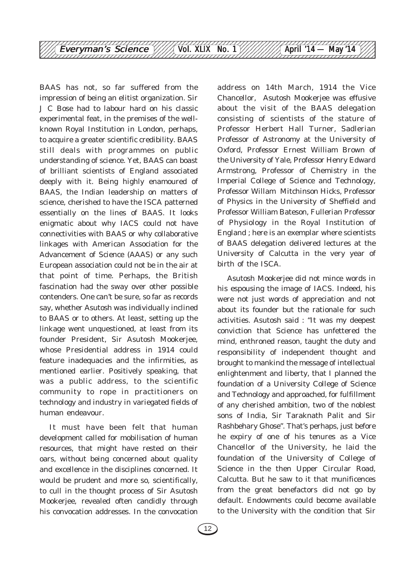

BAAS has not, so far suffered from the impression of being an elitist organization. Sir J C Bose had to labour hard on his classic experimental feat, in the premises of the wellknown Royal Institution in London, perhaps, to acquire a greater scientific credibility. BAAS still deals with programmes on public understanding of science. Yet, BAAS can boast of brilliant scientists of England associated deeply with it. Being highly enamoured of BAAS, the Indian leadership on matters of science, cherished to have the ISCA patterned essentially on the lines of BAAS. It looks enigmatic about why IACS could not have connectivities with BAAS or why collaborative linkages with American Association for the Advancement of Science (AAAS) or any such European association could not be in the air at that point of time. Perhaps, the British fascination had the sway over other possible contenders. One can't be sure, so far as records say, whether Asutosh was individually inclined to BAAS or to others. At least, setting up the linkage went unquestioned, at least from its founder President, Sir Asutosh Mookerjee, whose Presidential address in 1914 could feature inadequacies and the infirmities, as mentioned earlier. Positively speaking, that was a public address, to the scientific community to rope in practitioners on technology and industry in variegated fields of human endeavour.

It must have been felt that human development called for mobilisation of human resources, that might have rested on their oars, without being concerned about quality and excellence in the disciplines concerned. It would be prudent and more so, scientifically, to cull in the thought process of Sir Asutosh Mookerjee, revealed often candidly through his convocation addresses. In the convocation

address on 14th March, 1914 the Vice Chancellor, Asutosh Mookerjee was effusive about the visit of the BAAS delegation consisting of scientists of the stature of Professor Herbert Hall Turner, Sadlerian Professor of Astronomy at the University of Oxford, Professor Ernest William Brown of the University of Yale, Professor Henry Edward Armstrong, Professor of Chemistry in the Imperial College of Science and Technology, Professor Willam Mitchinson Hicks, Professor of Physics in the University of Sheffield and Professor William Bateson, Fullerian Professor of Physiology in the Royal Institution of England ; here is an exemplar where scientists of BAAS delegation delivered lectures at the University of Calcutta in the very year of birth of the ISCA.

Asutosh Mookerjee did not mince words in his espousing the image of IACS. Indeed, his were not just words of appreciation and not about its founder but the rationale for such activities. Asutosh said : "It was my deepest conviction that Science has unfettered the mind, enthroned reason, taught the duty and responsibility of independent thought and brought to mankind the message of intellectual enlightenment and liberty, that I planned the foundation of a University College of Science and Technology and approached, for fulfillment of any cherished ambition, two of the noblest sons of India, Sir Taraknath Palit and Sir Rashbehary Ghose". That's perhaps, just before he expiry of one of his tenures as a Vice Chancellor of the University, he laid the foundation of the University of College of Science in the then Upper Circular Road, Calcutta. But he saw to it that munificences from the great benefactors did not go by default. Endowments could become available to the University with the condition that Sir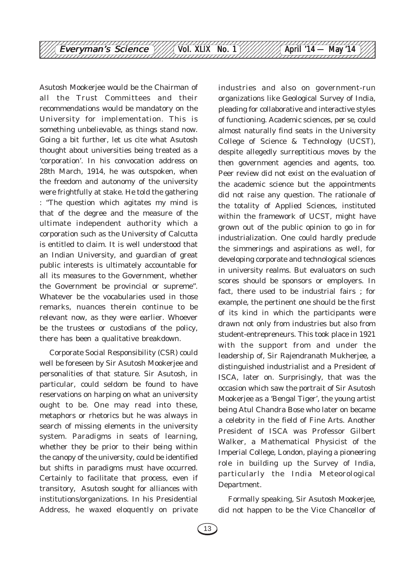

Asutosh Mookerjee would be the Chairman of all the Trust Committees and their recommendations would be mandatory on the University for implementation. This is something unbelievable, as things stand now. Going a bit further, let us cite what Asutosh thought about universities being treated as a 'corporation'. In his convocation address on 28th March, 1914, he was outspoken, when the freedom and autonomy of the university were frightfully at stake. He told the gathering : "The question which agitates my mind is that of the degree and the measure of the ultimate independent authority which a corporation such as the University of Calcutta is entitled to claim. It is well understood that an Indian University, and guardian of great public interests is ultimately accountable for all its measures to the Government, whether the Government be provincial or supreme". Whatever be the vocabularies used in those remarks, nuances therein continue to be relevant now, as they were earlier. Whoever be the trustees or custodians of the policy, there has been a qualitative breakdown.

Corporate Social Responsibility (CSR) could well be foreseen by Sir Asutosh Mookerjee and personalities of that stature. Sir Asutosh, in particular, could seldom be found to have reservations on harping on what an university ought to be. One may read into these, metaphors or rhetorics but he was always in search of missing elements in the university system. Paradigms in seats of learning, whether they be prior to their being within the canopy of the university, could be identified but shifts in paradigms must have occurred. Certainly to facilitate that process, even if transitory, Asutosh sought for alliances with institutions/organizations. In his Presidential Address, he waxed eloquently on private

industries and also on government-run organizations like Geological Survey of India, pleading for collaborative and interactive styles of functioning. Academic sciences, *per se,* could almost naturally find seats in the University College of Science & Technology (UCST), despite allegedly surreptitious moves by the then government agencies and agents, too. Peer review did not exist on the evaluation of the academic science but the appointments did not raise any question. The rationale of the totality of Applied Sciences, instituted within the framework of UCST, might have grown out of the public opinion to go in for industrialization. One could hardly preclude the simmerings and aspirations as well, for developing corporate and technological sciences in university realms. But evaluators on such scores should be sponsors or employers. In fact, there used to be industrial fairs ; for example, the pertinent one should be the first of its kind in which the participants were drawn not only from industries but also from student-entrepreneurs. This took place in 1921 with the support from and under the leadership of, Sir Rajendranath Mukherjee, a distinguished industrialist and a President of ISCA, later on. Surprisingly, that was the occasion which saw the portrait of Sir Asutosh Mookerjee as a 'Bengal Tiger', the young artist being Atul Chandra Bose who later on became a celebrity in the field of Fine Arts. Another President of ISCA was Professor Gilbert Walker, a Mathematical Physicist of the Imperial College, London, playing a pioneering role in building up the Survey of India, particularly the India Meteorological Department.

Formally speaking, Sir Asutosh Mookerjee, did not happen to be the Vice Chancellor of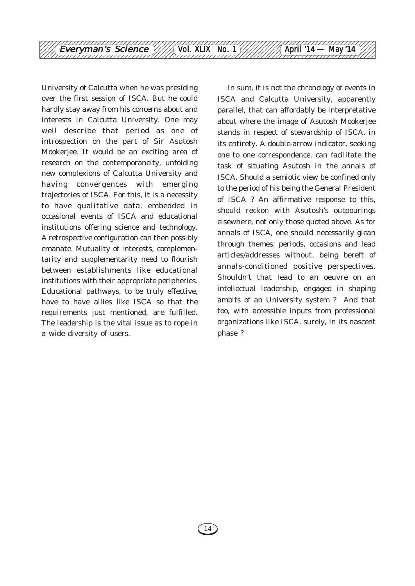

University of Calcutta when he was presiding over the first session of ISCA. But he could hardly stay away from his concerns about and interests in Calcutta University. One may well describe that period as one of introspection on the part of Sir Asutosh Mookerjee. It would be an exciting area of research on the contemporaneity, unfolding new complexions of Calcutta University and having convergences with emerging trajectories of ISCA. For this, it is a necessity to have qualitative data, embedded in occasional events of ISCA and educational institutions offering science and technology. A retrospective configuration can then possibly emanate. Mutuality of interests, complementarity and supplementarity need to flourish between establishments like educational institutions with their appropriate peripheries. Educational pathways, to be truly effective, have to have allies like ISCA so that the requirements just mentioned, are fulfilled. The leadership is the vital issue as to rope in a wide diversity of users.

In sum, it is not the chronology of events in ISCA and Calcutta University, apparently parallel, that can affordably be interpretative about where the image of Asutosh Mookerjee stands in respect of stewardship of ISCA, in its entirety. A double-arrow indicator, seeking one to one correspondence, can facilitate the task of situating Asutosh in the annals of ISCA. Should a semiotic view be confined only to the period of his being the General President of ISCA ? An affirmative response to this, should reckon with Asutosh's outpourings elsewhere, not only those quoted above. As for annals of ISCA, one should necessarily glean through themes, periods, occasions and lead articles/addresses without, being bereft of annals-conditioned positive perspectives. Shouldn't that lead to an oeuvre on an intellectual leadership, engaged in shaping ambits of an University system ? And that too, with accessible inputs from professional organizations like ISCA, surely, in its nascent phase ?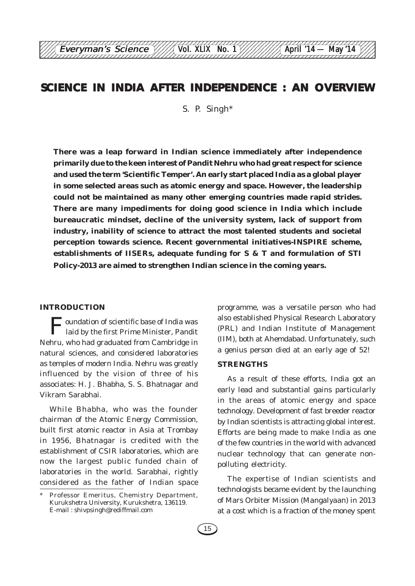## **SCIENCE IN INDIA AFTER INDEPENDENCE : AN OVERVIEW**

12345678901234567890123456789012123456789012345678901234567890121234567890123456789012345678  $1/12$  Everyman's Science  $1/11$  Vol. XLIX No. 1 $1/11/11$  April '14 — May '14  $1/11$ 12345678901234567890123456789012123456789012345678901234567890121234567890123456789012345678

S. P. Singh\*

**There was a leap forward in Indian science immediately after independence primarily due to the keen interest of Pandit Nehru who had great respect for science and used the term 'Scientific Temper'. An early start placed India as a global player in some selected areas such as atomic energy and space. However, the leadership could not be maintained as many other emerging countries made rapid strides. There are many impediments for doing good science in India which include bureaucratic mindset, decline of the university system, lack of support from industry, inability of science to attract the most talented students and societal perception towards science. Recent governmental initiatives-INSPIRE scheme, establishments of IISERs, adequate funding for S & T and formulation of STI Policy-2013 are aimed to strengthen Indian science in the coming years.**

#### **INTRODUCTION**

Foundation of scientific base of India was laid by the first Prime Minister, Pandit Nehru, who had graduated from Cambridge in natural sciences, and considered laboratories as temples of modern India. Nehru was greatly influenced by the vision of three of his associates: H. J. Bhabha, S. S. Bhatnagar and Vikram Sarabhai.

While Bhabha, who was the founder chairman of the Atomic Energy Commission, built first atomic reactor in Asia at Trombay in 1956, Bhatnagar is credited with the establishment of CSIR laboratories, which are now the largest public funded chain of laboratories in the world. Sarabhai, rightly considered as the father of Indian space programme, was a versatile person who had also established Physical Research Laboratory (PRL) and Indian Institute of Management (IIM), both at Ahemdabad. Unfortunately, such a genius person died at an early age of 52!

#### **STRENGTHS**

As a result of these efforts, India got an early lead and substantial gains particularly in the areas of atomic energy and space technology. Development of fast breeder reactor by Indian scientists is attracting global interest. Efforts are being made to make India as one of the few countries in the world with advanced nuclear technology that can generate nonpolluting electricity.

The expertise of Indian scientists and technologists became evident by the launching of Mars Orbiter Mission (*Mangalyaan*) in 2013 at a cost which is a fraction of the money spent

Professor Emeritus, Chemistry Department, Kurukshetra University, Kurukshetra, 136119. E-mail : shivpsingh@rediffmail.com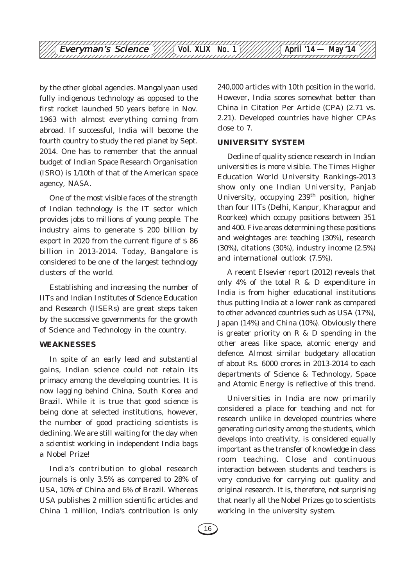

by the other global agencies. *Mangalyaan* used fully indigenous technology as opposed to the first rocket launched 50 years before in Nov. 1963 with almost everything coming from abroad. If successful, India will become the fourth country to study the *red planet* by Sept. 2014. One has to remember that the annual budget of Indian Space Research Organisation (ISRO) is 1/10th of that of the American space agency, NASA.

One of the most visible faces of the strength of Indian technology is the IT sector which provides jobs to millions of young people. The industry aims to generate \$ 200 billion by export in 2020 from the current figure of \$ 86 billion in 2013-2014. Today, Bangalore is considered to be one of the largest technology clusters of the world.

Establishing and increasing the number of IITs and Indian Institutes of Science Education and Research (IISERs) are great steps taken by the successive governments for the growth of Science and Technology in the country.

#### **WEAKNESSES**

In spite of an early lead and substantial gains, Indian science could not retain its primacy among the developing countries. It is now lagging behind China, South Korea and Brazil. While it is true that good science is being done at selected institutions, however, the number of good practicing scientists is declining. We are still waiting for the day when a scientist working in independent India bags a Nobel Prize!

India's contribution to global research journals is only 3.5% as compared to 28% of USA, 10% of China and 6% of Brazil. Whereas USA publishes 2 million scientific articles and China 1 million, India's contribution is only

240,000 articles with 10th position in the world. However, India scores somewhat better than China in Citation Per Article (CPA) (2.71 vs. 2.21). Developed countries have higher CPAs close to 7.

#### **UNIVERSITY SYSTEM**

Decline of quality science research in Indian universities is more visible. The Times Higher Education World University Rankings-2013 show only one Indian University, Panjab University, occupying 239<sup>th</sup> position, higher than four IITs (Delhi, Kanpur, Kharagpur and Roorkee) which occupy positions between 351 and 400. Five areas determining these positions and weightages are: teaching (30%), research (30%), citations (30%), industry income (2.5%) and international outlook (7.5%).

A recent Elsevier report (2012) reveals that only 4% of the total R & D expenditure in India is from higher educational institutions thus putting India at a lower rank as compared to other advanced countries such as USA (17%), Japan (14%) and China (10%). Obviously there is greater priority on R & D spending in the other areas like space, atomic energy and defence. Almost similar budgetary allocation of about Rs. 6000 crores in 2013-2014 to each departments of Science & Technology, Space and Atomic Energy is reflective of this trend.

Universities in India are now primarily considered a place for teaching and not for research unlike in developed countries where generating curiosity among the students, which develops into creativity, is considered equally important as the transfer of knowledge in class room teaching. Close and continuous interaction between students and teachers is very conducive for carrying out quality and original research. It is, therefore, not surprising that nearly all the Nobel Prizes go to scientists working in the university system.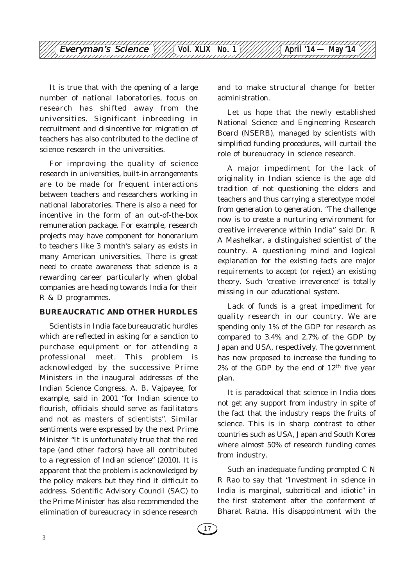

It is true that with the opening of a large number of national laboratories, focus on research has shifted away from the universities. Significant inbreeding in recruitment and disincentive for migration of teachers has also contributed to the decline of science research in the universities.

For improving the quality of science research in universities, built-in arrangements are to be made for frequent interactions between teachers and researchers working in national laboratories. There is also a need for incentive in the form of an out-of-the-box remuneration package. For example, research projects may have component for honorarium to teachers like 3 month's salary as exists in many American universities. There is great need to create awareness that science is a rewarding career particularly when global companies are heading towards India for their R & D programmes.

#### **BUREAUCRATIC AND OTHER HURDLES**

Scientists in India face bureaucratic hurdles which are reflected in asking for a sanction to purchase equipment or for attending a professional meet. This problem is acknowledged by the successive Prime Ministers in the inaugural addresses of the Indian Science Congress. A. B. Vajpayee, for example, said in 2001 "for Indian science to flourish, officials should serve as facilitators and not as masters of scientists". Similar sentiments were expressed by the next Prime Minister "It is unfortunately true that the red tape (and other factors) have all contributed to a regression of Indian science" (2010). It is apparent that the problem is acknowledged by the policy makers but they find it difficult to address. Scientific Advisory Council (SAC) to the Prime Minister has also recommended the elimination of bureaucracy in science research

and to make structural change for better administration.

Let us hope that the newly established National Science and Engineering Research Board (NSERB), managed by scientists with simplified funding procedures, will curtail the role of bureaucracy in science research.

A major impediment for the lack of originality in Indian science is the age old tradition of not questioning the elders and teachers and thus carrying a stereotype model from generation to generation. "The challenge now is to create a nurturing environment for creative irreverence within India" said Dr. R A Mashelkar, a distinguished scientist of the country. A questioning mind and logical explanation for the existing facts are major requirements to accept (or reject) an existing theory. Such 'creative irreverence' is totally missing in our educational system.

Lack of funds is a great impediment for quality research in our country. We are spending only 1% of the GDP for research as compared to 3.4% and 2.7% of the GDP by Japan and USA, respectively. The government has now proposed to increase the funding to  $2\%$  of the GDP by the end of  $12<sup>th</sup>$  five year plan.

It is paradoxical that science in India does not get any support from industry in spite of the fact that the industry reaps the fruits of science. This is in sharp contrast to other countries such as USA, Japan and South Korea where almost 50% of research funding comes from industry.

Such an inadequate funding prompted C N R Rao to say that "Investment in science in India is marginal, subcritical and idiotic'' in the first statement after the conferment of *Bharat Ratna*. His disappointment with the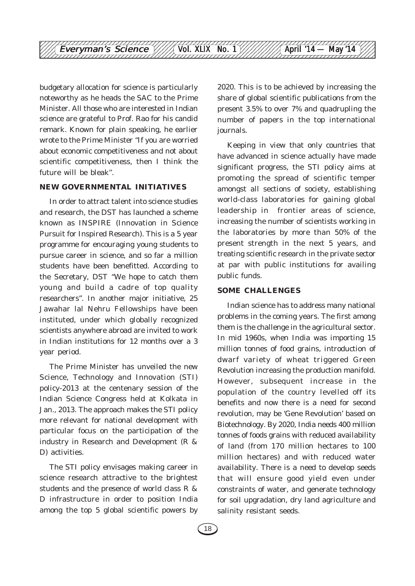

budgetary allocation for science is particularly noteworthy as he heads the SAC to the Prime Minister. All those who are interested in Indian science are grateful to Prof. Rao for his candid remark. Known for plain speaking, he earlier wrote to the Prime Minister "If you are worried about economic competitiveness and not about scientific competitiveness, then I think the future will be bleak''.

#### **NEW GOVERNMENTAL INITIATIVES**

In order to attract talent into science studies and research, the DST has launched a scheme known as INSPIRE (Innovation in Science Pursuit for Inspired Research). This is a 5 year programme for encouraging young students to pursue career in science, and so far a million students have been benefitted. According to the Secretary, DST "We hope to catch them young and build a cadre of top quality researchers". In another major initiative, 25 Jawahar lal Nehru Fellowships have been instituted, under which globally recognized scientists anywhere abroad are invited to work in Indian institutions for 12 months over a 3 year period.

The Prime Minister has unveiled the new Science, Technology and Innovation (STI) policy-2013 at the centenary session of the Indian Science Congress held at Kolkata in Jan., 2013. The approach makes the STI policy more relevant for national development with particular focus on the participation of the industry in Research and Development (R & D) activities.

The STI policy envisages making career in science research attractive to the brightest students and the presence of world class R & D infrastructure in order to position India among the top 5 global scientific powers by 2020. This is to be achieved by increasing the share of global scientific publications from the present 3.5% to over 7% and quadrupling the number of papers in the top international journals.

Keeping in view that only countries that have advanced in science actually have made significant progress, the STI policy aims at promoting the spread of scientific temper amongst all sections of society, establishing world-class laboratories for gaining global leadership in frontier areas of science, increasing the number of scientists working in the laboratories by more than 50% of the present strength in the next 5 years, and treating scientific research in the private sector at par with public institutions for availing public funds.

#### **SOME CHALLENGES**

Indian science has to address many national problems in the coming years. The first among them is the challenge in the agricultural sector. In mid 1960s, when India was importing 15 million tonnes of food grains, introduction of dwarf variety of wheat triggered Green Revolution increasing the production manifold. However, subsequent increase in the population of the country levelled off its benefits and now there is a need for second revolution, may be 'Gene Revolution' based on Biotechnology. By 2020, India needs 400 million tonnes of foods grains with reduced availability of land (from 170 million hectares to 100 million hectares) and with reduced water availability. There is a need to develop seeds that will ensure good yield even under constraints of water, and generate technology for soil upgradation, dry land agriculture and salinity resistant seeds.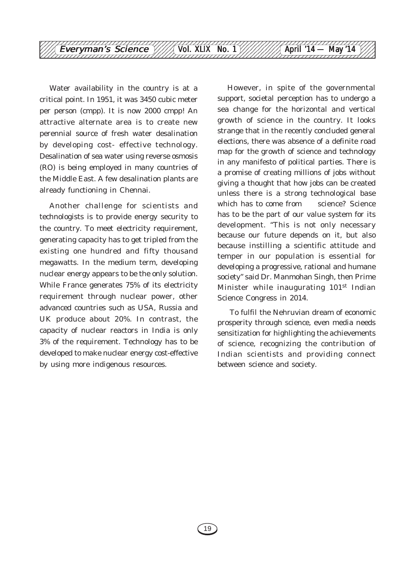

Water availability in the country is at a critical point. In 1951, it was 3450 cubic meter per person (cmpp). It is now 2000 cmpp! An attractive alternate area is to create new perennial source of fresh water desalination by developing cost- effective technology. Desalination of sea water using reverse osmosis (RO) is being employed in many countries of the Middle East. A few desalination plants are already functioning in Chennai.

Another challenge for scientists and technologists is to provide energy security to the country. To meet electricity requirement, generating capacity has to get tripled from the existing one hundred and fifty thousand megawatts. In the medium term, developing nuclear energy appears to be the only solution. While France generates 75% of its electricity requirement through nuclear power, other advanced countries such as USA, Russia and UK produce about 20%. In contrast, the capacity of nuclear reactors in India is only 3% of the requirement. Technology has to be developed to make nuclear energy cost-effective by using more indigenous resources.

However, in spite of the governmental support, societal perception has to undergo a sea change for the horizontal and vertical growth of science in the country. It looks strange that in the recently concluded general elections, there was absence of a definite road map for the growth of science and technology in any manifesto of political parties. There is a promise of creating millions of jobs without giving a thought that how jobs can be created unless there is a strong technological base which has to come from science? Science has to be the part of our value system for its development. "This is not only necessary because our future depends on it, but also because instilling a scientific attitude and temper in our population is essential for developing a progressive, rational and humane society" said Dr. Manmohan Singh, then Prime Minister while inaugurating 101<sup>st</sup> Indian Science Congress in 2014.

 To fulfil the Nehruvian dream of economic prosperity through science, even media needs sensitization for highlighting the achievements of science, recognizing the contribution of Indian scientists and providing connect between science and society.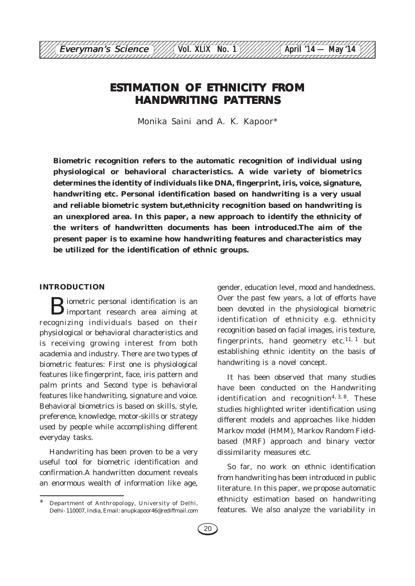## **ESTIMATION OF ETHNICITY FROM HANDWRITING PATTERNS**

12345678901234567890123456789012123456789012345678901234567890121234567890123456789012345678 **Vol. XLIX No. 1**  $1/1$  Everyman's Science  $1/1/1$  Vol. XLIX No. 1  $1/1/1/1/1$  April '14 — May '14  $1/1/1/1$ 12345678901234567890123456789012123456789012345678901234567890121234567890123456789012345678

Monika Saini and A. K. Kapoor\*

**Biometric recognition refers to the automatic recognition of individual using physiological or behavioral characteristics. A wide variety of biometrics determines the identity of individuals like DNA, fingerprint, iris, voice, signature, handwriting etc. Personal identification based on handwriting is a very usual and reliable biometric system but,ethnicity recognition based on handwriting is an unexplored area. In this paper, a new approach to identify the ethnicity of the writers of handwritten documents has been introduced.The aim of the present paper is to examine how handwriting features and characteristics may be utilized for the identification of ethnic groups.**

#### **INTRODUCTION**

Biometric personal identification is an important research area aiming at recognizing individuals based on their physiological or behavioral characteristics and is receiving growing interest from both academia and industry. There are two types of biometric features: First one is physiological features like fingerprint, face, iris pattern and palm prints and Second type is behavioral features like handwriting, signature and voice. Behavioral biometrics is based on skills, style, preference, knowledge, motor-skills or strategy used by people while accomplishing different everyday tasks.

Handwriting has been proven to be a very useful tool for biometric identification and confirmation.A handwritten document reveals an enormous wealth of information like age,

gender, education level, mood and handedness. Over the past few years, a lot of efforts have been devoted in the physiological biometric identification of ethnicity e.g. ethnicity recognition based on facial images, iris texture, fingerprints, hand geometry etc.<sup>11, 1</sup> but establishing ethnic identity on the basis of handwriting is a novel concept.

It has been observed that many studies have been conducted on the Handwriting identification and recognition<sup>4, 3, 8</sup>. These studies highlighted writer identification using different models and approaches like hidden Markov model (HMM), Markov Random Fieldbased (MRF) approach and binary vector dissimilarity measures etc.

So far, no work on ethnic identification from handwriting has been introduced in public literature. In this paper, we propose automatic ethnicity estimation based on handwriting features. We also analyze the variability in

Department of Anthropology, University of Delhi, Delhi- 110007, India, Email: anupkapoor46@rediffmail.com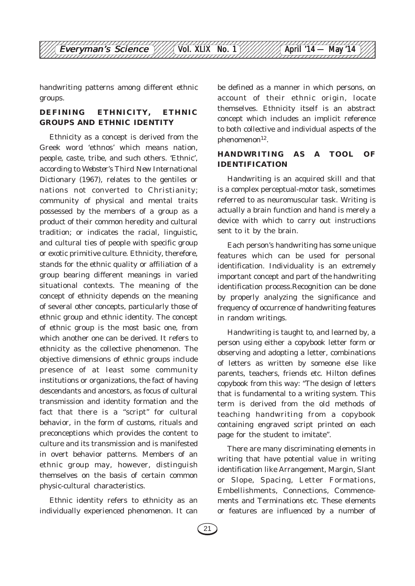

handwriting patterns among different ethnic groups.

#### **DEFINING ETHNICITY, ETHNIC GROUPS AND ETHNIC IDENTITY**

Ethnicity as a concept is derived from the Greek word 'ethnos' which means nation, people, caste, tribe, and such others. 'Ethnic', according to *Webster's Third New International Dictionary* (1967), relates to the gentiles or nations not converted to Christianity; community of physical and mental traits possessed by the members of a group as a product of their common heredity and cultural tradition; or indicates the racial, linguistic, and cultural ties of people with specific group or exotic primitive culture. Ethnicity, therefore, stands for the ethnic quality or affiliation of a group bearing different meanings in varied situational contexts. The meaning of the concept of ethnicity depends on the meaning of several other concepts, particularly those of ethnic group and ethnic identity. The concept of ethnic group is the most basic one, from which another one can be derived. It refers to ethnicity as the collective phenomenon. The objective dimensions of ethnic groups include presence of at least some community institutions or organizations, the fact of having descendants and ancestors, as focus of cultural transmission and identity formation and the fact that there is a "script" for cultural behavior, in the form of customs, rituals and preconceptions which provides the content to culture and its transmission and is manifested in overt behavior patterns. Members of an ethnic group may, however, distinguish themselves on the basis of certain common physic-cultural characteristics.

Ethnic identity refers to ethnicity as an individually experienced phenomenon. It can be defined as a manner in which persons, on account of their ethnic origin, locate themselves. Ethnicity itself is an abstract concept which includes an implicit reference to both collective and individual aspects of the phenomenon<sup>12</sup>.

#### **HANDWRITING AS A TOOL OF IDENTIFICATION**

Handwriting is an acquired skill and that is a complex perceptual-motor task, sometimes referred to as neuromuscular task. Writing is actually a brain function and hand is merely a device with which to carry out instructions sent to it by the brain.

Each person's handwriting has some unique features which can be used for personal identification. Individuality is an extremely important concept and part of the handwriting identification process.Recognition can be done by properly analyzing the significance and frequency of occurrence of handwriting features in random writings.

Handwriting is taught to, and learned by, a person using either a copybook letter form or observing and adopting a letter, combinations of letters as written by someone else like parents, teachers, friends etc. Hilton defines copybook from this way: "The design of letters that is fundamental to a writing system. This term is derived from the old methods of teaching handwriting from a copybook containing engraved script printed on each page for the student to imitate".

There are many discriminating elements in writing that have potential value in writing identification like Arrangement, Margin, Slant or Slope, Spacing, Letter Formations, Embellishments, Connections, Commencements and Terminations etc. These elements or features are influenced by a number of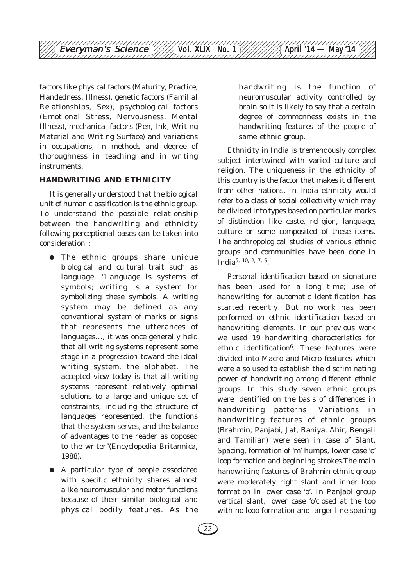

factors like physical factors (Maturity, Practice, Handedness, Illness), genetic factors (Familial Relationships, Sex), psychological factors (Emotional Stress, Nervousness, Mental Illness), mechanical factors (Pen, Ink, Writing Material and Writing Surface) and variations in occupations, in methods and degree of thoroughness in teaching and in writing instruments.

#### **HANDWRITING AND ETHNICITY**

It is generally understood that the biological unit of human classification is the ethnic group. To understand the possible relationship between the handwriting and ethnicity following perceptional bases can be taken into consideration :

- The ethnic groups share unique biological and cultural trait such as language. "Language is systems of symbols; writing is a system for symbolizing these symbols. A writing system may be defined as any conventional system of marks or signs that represents the utterances of languages…, it was once generally held that all writing systems represent some stage in a progression toward the ideal writing system, the alphabet. The accepted view today is that all writing systems represent relatively optimal solutions to a large and unique set of constraints, including the structure of languages represented, the functions that the system serves, and the balance of advantages to the reader as opposed to the writer"(Encyclopedia Britannica, 1988).
- A particular type of people associated with specific ethnicity shares almost alike neuromuscular and motor functions because of their similar biological and physical bodily features. As the

handwriting is the function of neuromuscular activity controlled by brain so it is likely to say that a certain degree of commonness exists in the handwriting features of the people of same ethnic group.

Ethnicity in India is tremendously complex subject intertwined with varied culture and religion. The uniqueness in the ethnicity of this country is the factor that makes it different from other nations. In India ethnicity would refer to a class of social collectivity which may be divided into types based on particular marks of distinction like caste, religion, language, culture or some composited of these items. The anthropological studies of various ethnic groups and communities have been done in India5, 10, 2, 7, 9.

Personal identification based on signature has been used for a long time; use of handwriting for automatic identification has started recently. But no work has been performed on ethnic identification based on handwriting elements. In our previous work we used 19 handwriting characteristics for ethnic identification $6$ . These features were divided into Macro and Micro features which were also used to establish the discriminating power of handwriting among different ethnic groups. In this study seven ethnic groups were identified on the basis of differences in handwriting patterns. Variations in handwriting features of ethnic groups (Brahmin, Panjabi, Jat, Baniya, Ahir, Bengali and Tamilian) were seen in case of Slant, Spacing, formation of 'm' humps, lower case 'o' loop formation and beginning strokes.The main handwriting features of Brahmin ethnic group were moderately right slant and inner loop formation in lower case 'o'. In Panjabi group vertical slant, lower case 'o'closed at the top with no loop formation and larger line spacing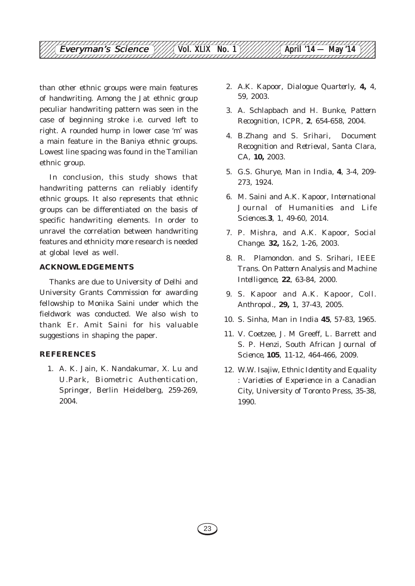#### 12345678901234567890123456789012123456789012345678901234567890121234567890123456789012345678 Everyman's Science ///// Vol. XLIX No. 1 ///////// April '14 — May '14 ////

than other ethnic groups were main features of handwriting. Among the Jat ethnic group peculiar handwriting pattern was seen in the case of beginning stroke i.e. curved left to right. A rounded hump in lower case 'm' was a main feature in the Baniya ethnic groups. Lowest line spacing was found in the Tamilian ethnic group.

In conclusion, this study shows that handwriting patterns can reliably identify ethnic groups. It also represents that ethnic groups can be differentiated on the basis of specific handwriting elements. In order to unravel the correlation between handwriting features and ethnicity more research is needed at global level as well.

#### **ACKNOWLEDGEMENTS**

Thanks are due to University of Delhi and University Grants Commission for awarding fellowship to Monika Saini under which the fieldwork was conducted. We also wish to thank Er. Amit Saini for his valuable suggestions in shaping the paper.

#### **REFERENCES**

1. A. K. Jain, K. Nandakumar, X. Lu and U.Park, *Biometric Authentication*, *Springer,* Berlin Heidelberg, 259-269, 2004.

- 2. A.K. Kapoor, *Dialogue Quarterly*, **4,** 4, 59, 2003.
- 3. A. Schlapbach and H. Bunke, *Pattern Recognition*, *ICPR*, **2**, 654-658, 2004.
- 4. B.Zhang and S. Srihari, *Document Recognition and Retrieval,* Santa Clara, CA, **10,** 2003.
- 5. G.S. Ghurye, *Man in India*, **4**, 3-4, 209- 273, 1924.
- 6. M. Saini and A.K. Kapoor, *International Journal of Humanities and Life Sciences.***3**, 1, 49-60, 2014.
- 7. P. Mishra, and A.K. Kapoor, *Social Change*. **32,** 1&2, 1-26, 2003.
- 8. R. Plamondon. and S. Srihari, *IEEE Trans. On Pattern Analysis and Machine Intelligence*, **22**, 63-84, 2000.
- 9. S. Kapoor and A.K. Kapoor, *Coll. Anthropol*., **29,** 1, 37-43, 2005.
- 10. S. Sinha, *Man in India* **45**, 57-83, 1965.
- 11. V. Coetzee, J. M Greeff, L. Barrett and S. P. Henzi, *South African Journal of Science*, **105**, 11-12, 464-466, 2009.
- 12. W.W. Isajiw, *Ethnic Identity and Equality : Varieties of Experience in a Canadian City*, University of Toronto Press, 35-38, 1990.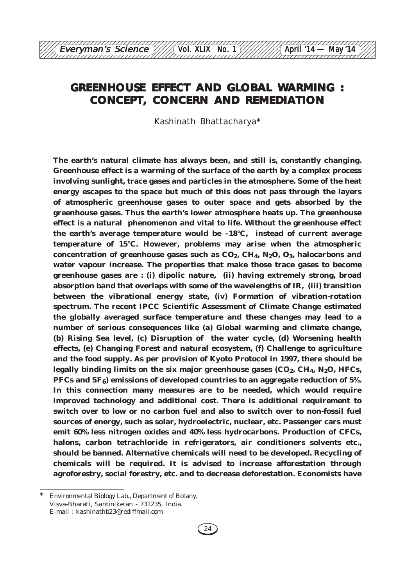## **GREENHOUSE EFFECT AND GLOBAL WARMING : GREENHOUSE EFFECT AND GLOBAL WARMING : CONCEPT, CONCERN AND REMEDIATION**

12345678901234567890123456789012123456789012345678901234567890121234567890123456789012345678 1234567890<del>1234567890123456789012345678901234567890123456789012345678901234567890</del>789012345678901234567890123456  $1/1$  Everyman's Science  $1/1/1$  Vol. XLIX No. 1  $1/1/1/1/1$  April '14 — May '14  $1/1/1/1$ 12345678901234567890123456789012123456789012345678901234567890121234567890123456789012345678

Kashinath Bhattacharya\*

**The earth's natural climate has always been, and still is, constantly changing. Greenhouse effect is a warming of the surface of the earth by a complex process involving sunlight, trace gases and particles in the atmosphere. Some of the heat energy escapes to the space but much of this does not pass through the layers of atmospheric greenhouse gases to outer space and gets absorbed by the greenhouse gases. Thus the earth's lower atmosphere heats up. The greenhouse effect is a natural phenomenon and vital to life. Without the greenhouse effect the earth's average temperature would be –18°C, instead of current average temperature of 15°C. However, problems may arise when the atmospheric** concentration of greenhouse gases such as  $CO<sub>2</sub>$ ,  $CH<sub>4</sub>$ , N<sub>2</sub>O, O<sub>3</sub>, halocarbons and **water vapour increase. The properties that make those trace gases to become greenhouse gases are : (i) dipolic nature, (ii) having extremely strong, broad absorption band that overlaps with some of the wavelengths of IR, (iii) transition between the vibrational energy state, (iv) Formation of vibration-rotation spectrum. The recent IPCC Scientific Assessment of Climate Change estimated the globally averaged surface temperature and these changes may lead to a number of serious consequences like (a) Global warming and climate change, (b) Rising Sea level, (c) Disruption of the water cycle, (d) Worsening health effects, (e) Changing Forest and natural ecosystem, (f) Challenge to agriculture and the food supply. As per provision of Kyoto Protocol in 1997, there should be legally binding limits on the six major greenhouse gases (CO2, CH4, N2O, HFCs, PFCs and SF6) emissions of developed countries to an aggregate reduction of 5%. In this connection many measures are to be needed, which would require improved technology and additional cost. There is additional requirement to switch over to low or no carbon fuel and also to switch over to non-fossil fuel sources of energy, such as solar, hydroelectric, nuclear, etc. Passenger cars must emit 60% less nitrogen oxides and 40% less hydrocarbons. Production of CFCs, halons, carbon tetrachloride in refrigerators, air conditioners solvents etc., should be banned. Alternative chemicals will need to be developed. Recycling of chemicals will be required. It is advised to increase afforestation through agroforestry, social forestry, etc. and to decrease deforestation. Economists have**

Environmental Biology Lab., Department of Botany, Visva-Bharati, Santiniketan - 731235, India. E-mail : kashinathb23@rediffmail.com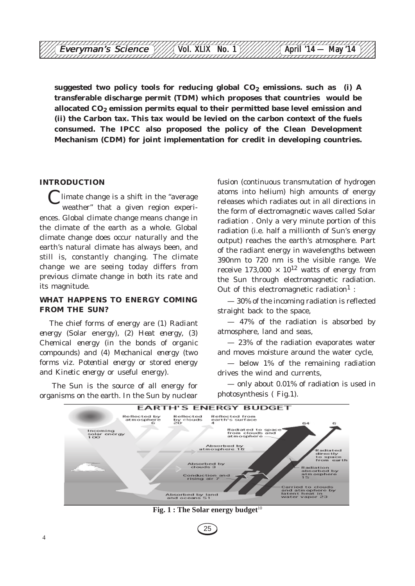#### 12345678901234567890123456789012123456789012345678901234567890121234567890123456789012345678 Everyman's Science ///// Vol. XLIX No. 1 ///////// April '14 — May '14 ////

suggested two policy tools for reducing global  $CO<sub>2</sub>$  emissions. such as (i) A **transferable discharge permit (TDM) which proposes that countries would be** allocated CO<sub>2</sub> emission permits equal to their permitted base level emission and **(ii) the Carbon tax. This tax would be levied on the carbon context of the fuels consumed. The IPCC also proposed the policy of the Clean Development Mechanism (CDM) for joint implementation for credit in developing countries.**

#### **INTRODUCTION**

limate change is a shift in the "average" weather" that a given region experiences. Global climate change means change in the climate of the earth as a whole. Global climate change does occur naturally and the earth's natural climate has always been, and still is, constantly changing. The climate change we are seeing today differs from previous climate change in both its rate and its magnitude.

#### **WHAT HAPPENS TO ENERGY COMING FROM THE SUN?**

The chief forms of energy are (1) *Radiant energy* (Solar energy), (2) *Heat energy*, (3) *Chemical energy* (in the bonds of organic compounds) and (4) *Mechanical energy* (two forms viz. *Potential energy* or stored energy and *Kinetic energy* or useful energy).

The Sun is the source of all energy for organisms on the earth. In the Sun by nuclear fusion (continuous transmutation of hydrogen atoms into helium) high amounts of energy releases which radiates out in all directions in the form of *electromagnetic waves* called Solar radiation . Only a very minute portion of this radiation (i.e. half a millionth of Sun's energy output) reaches the earth's atmosphere. Part of the radiant energy in wavelengths between 390nm to 720 nm is the visible range. We receive  $173,000 \times 10^{12}$  watts of energy from the Sun through electromagnetic radiation. Out of this electromagnetic radiation<sup>1</sup>:

— 30% of the incoming radiation is reflected straight back to the space,

— 47% of the radiation is absorbed by atmosphere, land and seas,

— 23% of the radiation evaporates water and moves moisture around the water cycle,

— below 1% of the remaining radiation drives the wind and currents,

— only about 0.01% of radiation is used in photosynthesis ( Fig.1).



Fig. 1 : The Solar energy budget<sup>10</sup>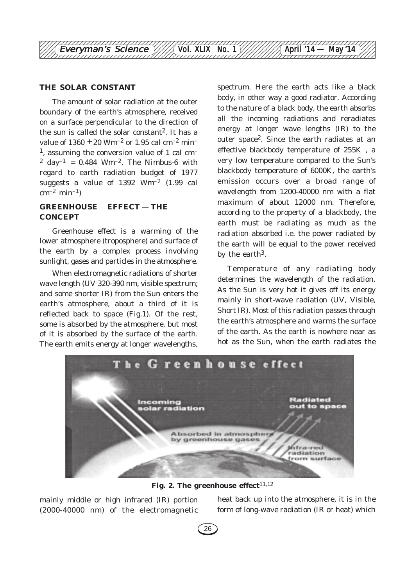

#### **THE SOLAR CONSTANT**

The amount of solar radiation at the outer boundary of the earth's atmosphere, received on a surface perpendicular to the direction of the sun is called the solar constant<sup>2</sup>. It has a value of  $1360 + 20$  Wm<sup>-2</sup> or 1.95 cal cm<sup>-2</sup> min<sup>-</sup> <sup>1</sup>, assuming the conversion value of 1 cal cm<sup>-</sup>  $^{2}$  day<sup>-1</sup> = 0.484 Wm<sup>-2</sup>. The *Nimbus-6* with regard to earth radiation budget of 1977 suggests a value of  $1392 \text{ Wm}^{-2}$  (1.99 cal  $cm^{-2}$  min<sup>-1</sup>)

#### **GREENHOUSE EFFECT** — **THE CONCEPT**

Greenhouse effect is a warming of the lower atmosphere (troposphere) and surface of the earth by a complex process involving sunlight, gases and particles in the atmosphere.

When electromagnetic radiations of shorter wave length (UV 320-390 nm, visible spectrum; and some shorter IR) from the Sun enters the earth's atmosphere, about a third of it is reflected back to space (Fig.1). Of the rest, some is absorbed by the atmosphere, but most of it is absorbed by the surface of the earth. The earth emits energy at longer wavelengths,

spectrum. Here the earth acts like a *black body*, in other way a good radiator. According to the nature of a black body, the earth absorbs all the incoming radiations and reradiates energy at longer wave lengths (IR) to the outer space<sup>2</sup>. Since the earth radiates at an effective blackbody temperature of 255K , a very low temperature compared to the Sun's blackbody temperature of 6000K, the earth's emission occurs over a broad range of wavelength from 1200-40000 nm with a flat maximum of about 12000 nm. Therefore, according to the property of a blackbody, the earth must be radiating as much as the radiation absorbed i.e. the power radiated by the earth will be equal to the power received by the earth<sup>3</sup>.

Temperature of any radiating body determines the wavelength of the radiation. As the Sun is very hot it gives off its energy mainly in short-wave radiation (UV, Visible, Short IR). Most of this radiation passes through the earth's atmosphere and warms the surface of the earth. As the earth is nowhere near as hot as the Sun, when the earth radiates the



Fig. 2. The greenhouse effect<sup>11,12</sup>

mainly middle or high infrared (IR) portion (2000-40000 nm) of the electromagnetic

heat back up into the atmosphere, it is in the form of long-wave radiation (IR or heat) which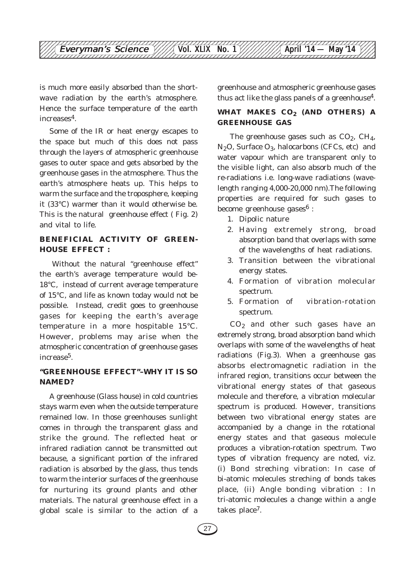

is much more easily absorbed than the shortwave radiation by the earth's atmosphere. Hence the surface temperature of the earth increases4.

Some of the IR or heat energy escapes to the space but much of this does not pass through the layers of atmospheric greenhouse gases to outer space and gets absorbed by the greenhouse gases in the atmosphere. Thus the earth's atmosphere heats up. This helps to warm the surface and the troposphere, keeping it (33°C) warmer than it would otherwise be. This is the natural greenhouse effect ( Fig. 2) and vital to life.

#### **BENEFICIAL ACTIVITY OF GREEN-HOUSE EFFECT :**

Without the natural "greenhouse effect" the earth's average temperature would be-18°C, instead of current average temperature of 15°C, and life as known today would not be possible. Instead, credit goes to greenhouse gases for keeping the earth's average temperature in a more hospitable 15°C. However, problems may arise when the atmospheric concentration of greenhouse gases increase5.

#### **"GREENHOUSE EFFECT"–WHY IT IS SO NAMED?**

A greenhouse (Glass house) in cold countries stays warm even when the outside temperature remained low. In those greenhouses sunlight comes in through the transparent glass and strike the ground. The reflected heat or infrared radiation cannot be transmitted out because, a significant portion of the infrared radiation is absorbed by the glass, thus tends to warm the interior surfaces of the greenhouse for nurturing its ground plants and other materials. The natural greenhouse effect in a global scale is similar to the action of a greenhouse and atmospheric greenhouse gases thus act like the glass panels of a greenhouse<sup>4</sup>.

#### WHAT MAKES CO<sub>2</sub> (AND OTHERS) A **GREENHOUSE GAS**

The greenhouse gases such as  $CO<sub>2</sub>$ ,  $CH<sub>4</sub>$ ,  $N_2O$ , Surface  $O_3$ , halocarbons (CFCs, etc) and water vapour which are transparent only to the visible light, can also absorb much of the re-radiations i.e. long-wave radiations (wavelength ranging 4,000-20,000 nm).The following properties are required for such gases to become greenhouse gases $6$ :

- 1. Dipolic nature
- 2. Having extremely strong, broad absorption band that overlaps with some of the wavelengths of heat radiations.
- 3. Transition between the vibrational energy states.
- 4. Formation of vibration molecular spectrum.
- 5. Formation of vibration-rotation spectrum.

CO2 and other such gases have an extremely strong, broad absorption band which overlaps with some of the wavelengths of heat radiations (Fig.3). When a greenhouse gas absorbs electromagnetic radiation in the infrared region, transitions occur between the vibrational energy states of that gaseous molecule and therefore, a vibration molecular spectrum is produced. However, transitions between two vibrational energy states are accompanied by a change in the rotational energy states and that gaseous molecule produces a vibration-rotation spectrum. Two types of vibration frequency are noted, viz. (i) *Bond streching vibration*: In case of bi-atomic molecules streching of bonds takes place, (ii) *Angle bonding vibration* : In tri-atomic molecules a change within a angle takes place<sup>7</sup>.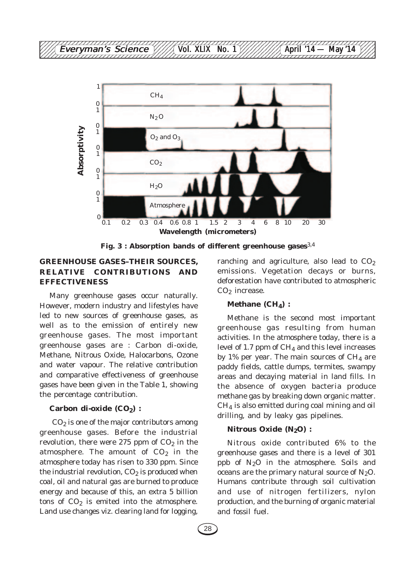#### 12345678901234567890123456789012123456789012345678901234567890121234567890123456789012345678 Everyman's Science ///// Vol. XLIX No. 1 ///////// April '14 — May '14 ////



**Fig. 3 : Absorption bands of different greenhouse gases**3,4

#### **GREENHOUSE GASES–THEIR SOURCES, RELATIVE CONTRIBUTIONS AND EFFECTIVENESS**

Many greenhouse gases occur naturally. However, modern industry and lifestyles have led to new sources of greenhouse gases, as well as to the emission of entirely new greenhouse gases. The most important greenhouse gases are : Carbon di-oxide, Methane, Nitrous Oxide, Halocarbons, Ozone and water vapour. The relative contribution and comparative effectiveness of greenhouse gases have been given in the Table 1, showing the percentage contribution.

#### Carbon di-oxide (CO<sub>2</sub>):

 $CO<sub>2</sub>$  is one of the major contributors among greenhouse gases. Before the industrial revolution, there were 275 ppm of  $CO<sub>2</sub>$  in the atmosphere. The amount of  $CO<sub>2</sub>$  in the atmosphere today has risen to 330 ppm. Since the industrial revolution,  $CO<sub>2</sub>$  is produced when coal, oil and natural gas are burned to produce energy and because of this, an extra 5 billion tons of  $CO<sub>2</sub>$  is emited into the atmosphere. Land use changes viz. clearing land for logging,

ranching and agriculture, also lead to  $CO<sub>2</sub>$ emissions. Vegetation decays or burns, deforestation have contributed to atmospheric  $CO<sub>2</sub>$  increase.

#### Methane (CH<sub>4</sub>) :

Methane is the second most important greenhouse gas resulting from human activities. In the atmosphere today, there is a level of 1.7 ppm of CH4 and this level increases by 1% per year. The main sources of  $CH<sub>4</sub>$  are paddy fields, cattle dumps, termites, swampy areas and decaying material in land fills. In the absence of oxygen bacteria produce methane gas by breaking down organic matter. CH4 is also emitted during coal mining and oil drilling, and by leaky gas pipelines.

#### **Nitrous Oxide (N2O) :**

Nitrous oxide contributed 6% to the greenhouse gases and there is a level of 301 ppb of  $N_2O$  in the atmosphere. Soils and oceans are the primary natural source of  $N_2O$ . Humans contribute through soil cultivation and use of nitrogen fertilizers, nylon production, and the burning of organic material and fossil fuel.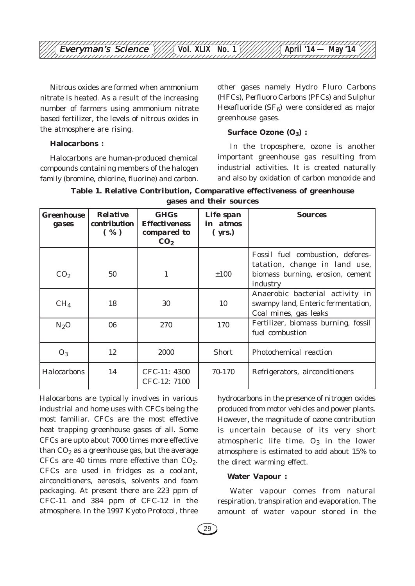

Nitrous oxides are formed when ammonium nitrate is heated. As a result of the increasing number of farmers using ammonium nitrate based fertilizer, the levels of nitrous oxides in the atmosphere are rising.

#### **Halocarbons :**

Halocarbons are human-produced chemical compounds containing members of the halogen family (bromine, chlorine, fluorine) and carbon. other gases namely *Hydro Fluro Carbons (HFCs), Perfluoro Carbons (PFCs)* and *Sulphur Hexafluoride (SF* $_{6}$ *)* were considered as major greenhouse gases.

#### Surface Ozone (O<sub>3</sub>) :

In the troposphere, ozone is another important greenhouse gas resulting from industrial activities. It is created naturally and also by oxidation of carbon monoxide and

|  | Table 1. Relative Contribution, Comparative effectiveness of greenhouse |                         |  |  |
|--|-------------------------------------------------------------------------|-------------------------|--|--|
|  |                                                                         | gases and their sources |  |  |

| <b>Greenhouse</b><br>gases | <b>Relative</b><br>contribution<br>( %) | <b>GHGs</b><br><b>Effectiveness</b><br>compared to<br>CO <sub>2</sub> | Life span<br>in atmos<br>(yrs.) | <b>Sources</b>                                                                                                    |
|----------------------------|-----------------------------------------|-----------------------------------------------------------------------|---------------------------------|-------------------------------------------------------------------------------------------------------------------|
| CO <sub>2</sub>            | 50                                      | 1                                                                     | ±100                            | Fossil fuel combustion, defores-<br>tatation, change in land use,<br>biomass burning, erosion, cement<br>industry |
| CH <sub>4</sub>            | 18                                      | 30                                                                    | 10                              | Anaerobic bacterial activity in<br>swampy land, Enteric fermentation,<br>Coal mines, gas leaks                    |
| $N_2O$                     | 06                                      | 270                                                                   | 170                             | Fertilizer, biomass burning, fossil<br>fuel combustion                                                            |
| $O_3$                      | 12                                      | 2000                                                                  | <b>Short</b>                    | Photochemical reaction                                                                                            |
| Halocarbons                | 14                                      | CFC-11: 4300<br>CFC-12: 7100                                          | 70-170                          | Refrigerators, airconditioners                                                                                    |

Halocarbons are typically involves in various industrial and home uses with CFCs being the most familiar. CFCs are the most effective heat trapping greenhouse gases of all. Some CFCs are upto about 7000 times more effective than  $CO<sub>2</sub>$  as a greenhouse gas, but the average CFCs are 40 times more effective than CO2. CFCs are used in fridges as a coolant, airconditioners, aerosols, solvents and foam packaging. At present there are 223 ppm of CFC-11 and 384 ppm of CFC-12 in the atmosphere. In the 1997 Kyoto Protocol, three

hydrocarbons in the presence of nitrogen oxides produced from motor vehicles and power plants. However, the magnitude of ozone contribution is uncertain because of its very short atmospheric life time.  $O_3$  in the lower atmosphere is estimated to add about 15% to the direct warming effect.

#### **Water Vapour :**

Water vapour comes from natural respiration, transpiration and evaporation. The amount of water vapour stored in the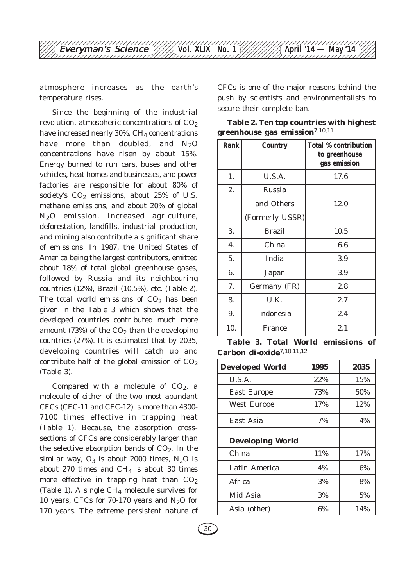

atmosphere increases as the earth's temperature rises.

Since the beginning of the industrial revolution, atmospheric concentrations of  $CO<sub>2</sub>$ have increased nearly 30%, CH<sub>4</sub> concentrations have more than doubled, and  $N_2O$ concentrations have risen by about 15%. Energy burned to run cars, buses and other vehicles, heat homes and businesses, and power factories are responsible for about 80% of society's  $CO<sub>2</sub>$  emissions, about 25% of U.S. methane emissions, and about 20% of global N2O emission. Increased agriculture, deforestation, landfills, industrial production, and mining also contribute a significant share of emissions. In 1987, the United States of America being the largest contributors, emitted about 18% of total global greenhouse gases, followed by Russia and its neighbouring countries (12%), Brazil (10.5%), etc. (Table 2). The total world emissions of  $CO<sub>2</sub>$  has been given in the Table 3 which shows that the developed countries contributed much more amount (73%) of the  $CO<sub>2</sub>$  than the developing countries (27%). It is estimated that by 2035, developing countries will catch up and contribute half of the global emission of  $CO<sub>2</sub>$ (Table 3).

Compared with a molecule of  $CO<sub>2</sub>$ , a molecule of either of the two most abundant CFCs (CFC-11 and CFC-12) is more than 4300- 7100 times effective in trapping heat (Table 1). Because, the absorption crosssections of CFCs are considerably larger than the selective absorption bands of  $CO<sub>2</sub>$ . In the similar way,  $O_3$  is about 2000 times, N<sub>2</sub>O is about 270 times and  $CH<sub>4</sub>$  is about 30 times more effective in trapping heat than  $CO<sub>2</sub>$ (Table 1). A single  $CH<sub>4</sub>$  molecule survives for 10 years, CFCs for 70-170 years and  $N_2O$  for 170 years. The extreme persistent nature of CFCs is one of the major reasons behind the push by scientists and environmentalists to secure their complete ban.

| Table 2. Ten top countries with highest    |  |  |
|--------------------------------------------|--|--|
| greenhouse gas emission <sup>7,10,11</sup> |  |  |

| Rank | Country         | Total % contribution<br>to greenhouse<br>gas emission |
|------|-----------------|-------------------------------------------------------|
| 1.   | U.S.A.          | 17.6                                                  |
| 2.   | Russia          |                                                       |
|      | and Others      | 12.0                                                  |
|      | (Formerly USSR) |                                                       |
| 3.   | <b>Brazil</b>   | 10.5                                                  |
| 4.   | China           | 6.6                                                   |
| 5.   | India           | 3.9                                                   |
| 6.   | Japan           | 3.9                                                   |
| 7.   | Germany (FR)    | 2.8                                                   |
| 8.   | U.K.            | 2.7                                                   |
| 9.   | Indonesia       | 2.4                                                   |
| 10.  | France          | 2.1                                                   |

**Table 3. Total World emissions of Carbon di-oxide**7,10,11,12

| <b>Developed World</b>  | 1995 | 2035 |
|-------------------------|------|------|
| U.S.A.                  | 22%  | 15%  |
| East Europe             | 73%  | 50%  |
| West Europe             | 17%  | 12%  |
| East Asia               | 7%   | 4%   |
| <b>Developing World</b> |      |      |
| China                   | 11%  | 17%  |
| Latin America           | 4%   | 6%   |
| Africa                  | 3%   | 8%   |
| Mid Asia                | 3%   | 5%   |
| Asia (other)            | 6%   | 14%  |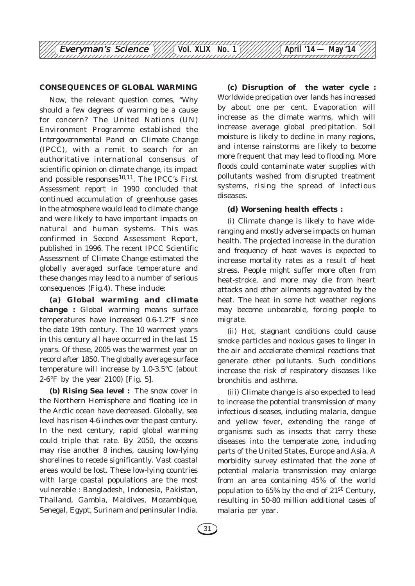

#### **CONSEQUENCES OF GLOBAL WARMING**

Now, the relevant question comes, "Why should a few degrees of warming be a cause for concern? The United Nations (UN) Environment Programme established the *Intergovernmental Panel on Climate Change* (IPCC), with a remit to search for an authoritative international consensus of scientific opinion on climate change, its impact and possible responses $10,11$ . The IPCC's First Assessment report in 1990 concluded that continued accumulation of greenhouse gases in the atmosphere would lead to climate change and were likely to have important impacts on natural and human systems. This was confirmed in Second Assessment Report, published in 1996. The recent IPCC Scientific Assessment of Climate Change estimated the globally averaged surface temperature and these changes may lead to a number of serious consequences (Fig.4). These include:

**(a) Global warming and climate change :** Global warming means surface temperatures have increased 0.6-1.2°F since the date 19th century. The 10 warmest years in this century all have occurred in the last 15 years. Of these, 2005 was the warmest year on record after 1850. The globally average surface temperature will increase by 1.0-3.5°C (about 2-6°F by the year 2100) [Fig. 5].

**(b) Rising Sea level :** The snow cover in the Northern Hemisphere and floating ice in the Arctic ocean have decreased. Globally, sea level has risen 4-6 inches over the past century. In the next century, rapid global warming could triple that rate. By 2050, the oceans may rise another 8 inches, causing low-lying shorelines to recede significantly. Vast coastal areas would be lost. These low-lying countries with large coastal populations are the most vulnerable : Bangladesh, Indonesia, Pakistan, Thailand, Gambia, Maldives, Mozambique, Senegal, Egypt, Surinam and peninsular India.

**(c) Disruption of the water cycle :** Worldwide precipation over lands has increased by about one per cent. Evaporation will increase as the climate warms, which will increase average global precipitation. Soil moisture is likely to decline in many regions, and intense rainstorms are likely to become more frequent that may lead to flooding. More floods could contaminate water supplies with pollutants washed from disrupted treatment systems, rising the spread of infectious diseases.

#### **(d) Worsening health effects :**

(i) Climate change is likely to have wideranging and mostly adverse impacts on human health. The projected increase in the duration and frequency of heat waves is expected to increase mortality rates as a result of heat stress. People might suffer more often from heat-stroke, and more may die from heart attacks and other ailments aggravated by the heat. The heat in some hot weather regions may become unbearable, forcing people to migrate.

(ii) Hot, stagnant conditions could cause smoke particles and noxious gases to linger in the air and accelerate chemical reactions that generate other pollutants. Such conditions increase the risk of respiratory diseases like bronchitis and asthma.

(iii) Climate change is also expected to lead to increase the potential transmission of many infectious diseases, including malaria, dengue and yellow fever, extending the range of organisms such as insects that carry these diseases into the temperate zone, including parts of the United States, Europe and Asia. A morbidity survey estimated that the zone of potential malaria transmission may enlarge from an area containing 45% of the world population to 65% by the end of 21st Century, resulting in 50-80 million additional cases of malaria per year.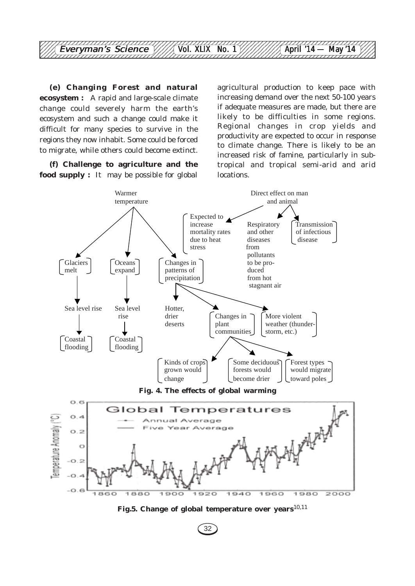

**(e) Changing Forest and natural ecosystem :** A rapid and large-scale climate change could severely harm the earth's ecosystem and such a change could make it difficult for many species to survive in the regions they now inhabit. Some could be forced to migrate, while others could become extinct.

**(f) Challenge to agriculture and the food supply :** It may be possible for global

agricultural production to keep pace with increasing demand over the next 50-100 years if adequate measures are made, but there are likely to be difficulties in some regions. Regional changes in crop yields and productivity are expected to occur in response to climate change. There is likely to be an increased risk of famine, particularly in subtropical and tropical semi-arid and arid locations.



**Fig.5. Change of global temperature over years**10,11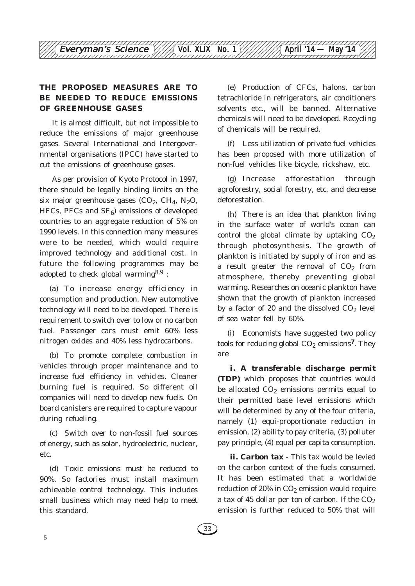

#### **THE PROPOSED MEASURES ARE TO BE NEEDED TO REDUCE EMISSIONS OF GREENHOUSE GASES**

It is almost difficult, but not impossible to reduce the emissions of major greenhouse gases. Several International and Intergovernmental organisations (IPCC) have started to cut the emissions of greenhouse gases.

As per provision of Kyoto Protocol in 1997, there should be legally binding limits on the six major greenhouse gases  $(CO<sub>2</sub>, CH<sub>4</sub>, N<sub>2</sub>O)$ , HFCs, PFCs and  $SF_6$ ) emissions of developed countries to an aggregate reduction of 5% on 1990 levels. In this connection many measures were to be needed, which would require improved technology and additional cost. In future the following programmes may be adopted to check global warming8,9 :

(a) To increase energy efficiency in consumption and production. New automotive technology will need to be developed. There is requirement to switch over to low or no carbon fuel. Passenger cars must emit 60% less nitrogen oxides and 40% less hydrocarbons.

(b) To promote complete combustion in vehicles through proper maintenance and to increase fuel efficiency in vehicles. Cleaner burning fuel is required. So different oil companies will need to develop new fuels. On board canisters are required to capture vapour during refueling.

(c) Switch over to non-fossil fuel sources of energy, such as solar, hydroelectric, nuclear, etc.

(d) Toxic emissions must be reduced to 90%. So factories must install maximum achievable control technology. This includes small business which may need help to meet this standard.

(e) Production of CFCs, halons, carbon tetrachloride in refrigerators, air conditioners solvents etc., will be banned. Alternative chemicals will need to be developed. Recycling of chemicals will be required.

(f) Less utilization of private fuel vehicles has been proposed with more utilization of non-fuel vehicles like bicycle, rickshaw, etc.

(g) Increase afforestation through agroforestry, social forestry, etc. and decrease deforestation.

(h) There is an idea that plankton living in the surface water of world's ocean can control the global climate by uptaking  $CO<sub>2</sub>$ through photosynthesis. The growth of plankton is initiated by supply of iron and as a result greater the removal of  $CO<sub>2</sub>$  from atmosphere, thereby preventing global warming. Researches on oceanic plankton have shown that the growth of plankton increased by a factor of 20 and the dissolved  $CO<sub>2</sub>$  level of sea water fell by 60%.

(i) Economists have suggested two policy tools for reducing global CO<sub>2</sub> emissions<sup>7</sup>. They are

*i. A transferable discharge permit (TDP)* which proposes that countries would be allocated  $CO<sub>2</sub>$  emissions permits equal to their permitted base level emissions which will be determined by any of the four criteria, namely (1) equi-proportionate reduction in emission, (2) ability to pay criteria, (3) polluter pay principle, (4) equal per capita consumption.

*ii. Carbon tax* - This tax would be levied on the carbon context of the fuels consumed. It has been estimated that a worldwide reduction of  $20\%$  in  $CO<sub>2</sub>$  emission would require a tax of 45 dollar per ton of carbon. If the  $CO<sub>2</sub>$ emission is further reduced to 50% that will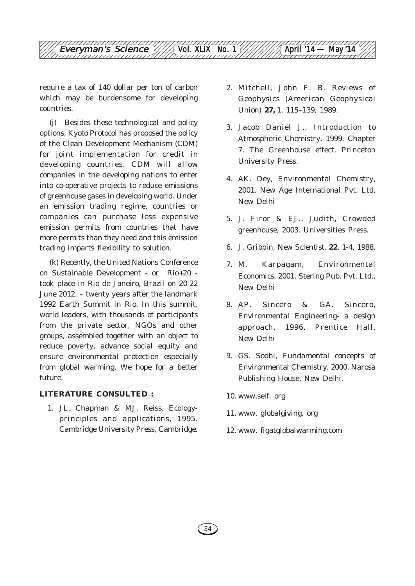

require a tax of 140 dollar per ton of carbon which may be burdensome for developing countries.

(j) Besides these technological and policy options, Kyoto Protocol has proposed the policy of the Clean Development Mechanism (CDM) for joint implementation for credit in developing countries. CDM will allow companies in the developing nations to enter into co-operative projects to reduce emissions of greenhouse gases in developing world. Under an emission trading regime, countries or companies can purchase less expensive emission permits from countries that have more permits than they need and this emission trading imparts flexibility to solution.

(k) Recently, the United Nations Conference on Sustainable Development - or Rio+20 took place in Rio de Janeiro, Brazil on 20-22 June 2012. – twenty years after the landmark 1992 Earth Summit in Rio. In this summit, world leaders, with thousands of participants from the private sector, NGOs and other groups, assembled together with an object to reduce poverty, advance social equity and ensure environmental protection especially from global warming. We hope for a better future.

#### **LITERATURE CONSULTED :**

1. JL. Chapman & MJ. Reiss, Ecologyprinciples and applications, 1995. Cambridge University Press, Cambridge.

- 2. Mitchell, John F. B. *Reviews of Geophysics* (American Geophysical Union) **27,** 1, 115–139, 1989.
- 3. Jacob Daniel J., Introduction to Atmospheric Chemistry, 1999. Chapter 7. The Greenhouse effect. Princeton University Press.
- 4. AK. Dey, Environmental Chemistry, 2001. New Age International Pvt. Ltd, New Delhi
- 5. J. Firor & EJ., Judith, Crowded greenhouse, 2003. Universities Press.
- 6. J. Gribbin, *New Scientist*. **22**, 1-4, 1988.
- 7. M. Karpagam, Environmental Economics, 2001. Stering Pub. Pvt. Ltd., New Delhi
- 8. AP. Sincero & GA. Sincero, Environmental Engineering- a design approach, 1996. Prentice Hall, New Delhi
- 9. GS. Sodhi, Fundamental concepts of Environmental Chemistry, 2000. Narosa Publishing House, New Delhi.
- 10. www.self. org
- 11. www. globalgiving. org
- 12. www. figatglobalwarming.com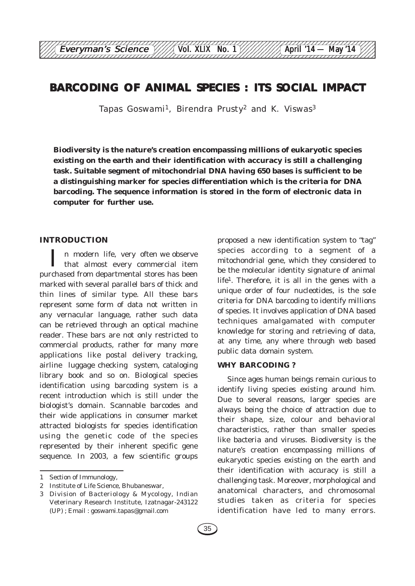## **BARCODING OF ANIMAL SPECIES : ITS SOCIAL IMPACT**

12345678901234567890123456789012123456789012345678901234567890121234567890123456789012345678  $1/12$  Everyman's Science  $1/11$  Vol. XLIX No. 1 $1/11/11$  April '14 — May '14  $1/11$ 12345678901234567890123456789012123456789012345678901234567890121234567890123456789012345678

Tapas Goswami<sup>1</sup>, Birendra Prusty<sup>2</sup> and K. Viswas<sup>3</sup>

**Biodiversity is the nature's creation encompassing millions of eukaryotic species existing on the earth and their identification with accuracy is still a challenging task. Suitable segment of mitochondrial DNA having 650 bases is sufficient to be a distinguishing marker for species differentiation which is the criteria for DNA barcoding. The sequence information is stored in the form of electronic data in computer for further use.**

#### **INTRODUCTION**

n modern life, very often we observe that almost every commercial item purchased from departmental stores has been marked with several parallel bars of thick and thin lines of similar type. All these bars represent some form of data not written in any vernacular language, rather such data can be retrieved through an optical machine reader. These bars are not only restricted to commercial products, rather for many more applications like postal delivery tracking, airline luggage checking system, cataloging library book and so on. Biological species identification using barcoding system is a recent introduction which is still under the biologist's domain. Scannable barcodes and their wide applications in consumer market attracted biologists for species identification using the genetic code of the species represented by their inherent specific gene sequence. In 2003, a few scientific groups

proposed a new identification system to "tag" species according to a segment of a mitochondrial gene, which they considered to be the molecular identity signature of animal life<sup>1</sup>. Therefore, it is all in the genes with a unique order of four nucleotides, is the sole criteria for DNA barcoding to identify millions of species. It involves application of DNA based techniques amalgamated with computer knowledge for storing and retrieving of data, at any time, any where through web based public data domain system.

#### **WHY BARCODING ?**

Since ages human beings remain curious to identify living species existing around him. Due to several reasons, larger species are always being the choice of attraction due to their shape, size, colour and behavioral characteristics, rather than smaller species like bacteria and viruses. Biodiversity is the nature's creation encompassing millions of eukaryotic species existing on the earth and their identification with accuracy is still a challenging task. Moreover, morphological and anatomical characters, and chromosomal studies taken as criteria for species identification have led to many errors.

<sup>1</sup> Section of Immunology,

<sup>2</sup> Institute of Life Science, Bhubaneswar,

<sup>3</sup> Division of Bacteriology & Mycology, Indian Veterinary Research Institute, Izatnagar-243122 (UP) ; Email : goswami.tapas@gmail.com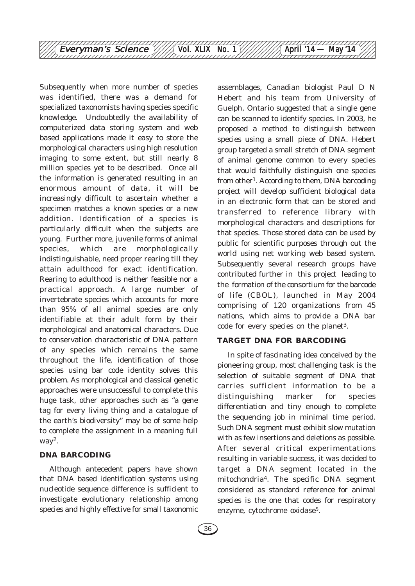

Subsequently when more number of species was identified, there was a demand for specialized taxonomists having species specific knowledge. Undoubtedly the availability of computerized data storing system and web based applications made it easy to store the morphological characters using high resolution imaging to some extent, but still nearly 8 million species yet to be described. Once all the information is generated resulting in an enormous amount of data, it will be increasingly difficult to ascertain whether a specimen matches a known species or a new addition. Identification of a species is particularly difficult when the subjects are young. Further more, juvenile forms of animal species, which are morphologically indistinguishable, need proper rearing till they attain adulthood for exact identification. Rearing to adulthood is neither feasible nor a practical approach. A large number of invertebrate species which accounts for more than 95% of all animal species are only identifiable at their adult form by their morphological and anatomical characters. Due to conservation characteristic of DNA pattern of any species which remains the same throughout the life, identification of those species using bar code identity solves this problem. As morphological and classical genetic approaches were unsuccessful to complete this huge task, other approaches such as "a gene tag for every living thing and a catalogue of the earth's biodiversity" may be of some help to complete the assignment in a meaning full way2.

#### **DNA BARCODING**

Although antecedent papers have shown that DNA based identification systems using nucleotide sequence difference is sufficient to investigate evolutionary relationship among species and highly effective for small taxonomic assemblages, Canadian biologist Paul D N Hebert and his team from University of Guelph, Ontario suggested that a single gene can be scanned to identify species. In 2003, he proposed a method to distinguish between species using a small piece of DNA. Hebert group targeted a small stretch of DNA segment of animal genome common to every species that would faithfully distinguish one species from other<sup>1</sup>. According to them, DNA barcoding project will develop sufficient biological data in an electronic form that can be stored and transferred to reference library with morphological characters and descriptions for that species. Those stored data can be used by public for scientific purposes through out the world using net working web based system. Subsequently several research groups have contributed further in this project leading to the formation of the consortium for the barcode of life (CBOL), launched in May 2004 comprising of 120 organizations from 45 nations, which aims to provide a DNA bar code for every species on the planet<sup>3</sup>.

#### **TARGET DNA FOR BARCODING**

In spite of fascinating idea conceived by the pioneering group, most challenging task is the selection of suitable segment of DNA that carries sufficient information to be a distinguishing marker for species differentiation and tiny enough to complete the sequencing job in minimal time period. Such DNA segment must exhibit slow mutation with as few insertions and deletions as possible. After several critical experimentations resulting in variable success, it was decided to target a DNA segment located in the mitochondria4. The specific DNA segment considered as standard reference for animal species is the one that codes for respiratory enzyme, cytochrome oxidase<sup>5</sup>.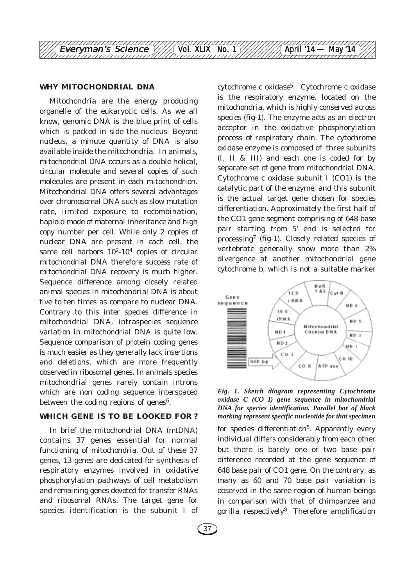

#### **WHY MITOCHONDRIAL DNA**

Mitochondria are the energy producing organelle of the eukaryotic cells. As we all know, genomic DNA is the blue print of cells which is packed in side the nucleus. Beyond nucleus, a minute quantity of DNA is also available inside the mitochondria. In animals, mitochondrial DNA occurs as a double helical, circular molecule and several copies of such molecules are present in each mitochondrion. Mitochondrial DNA offers several advantages over chromosomal DNA such as slow mutation rate, limited exposure to recombination, haploid mode of maternal inheritance and high copy number per cell. While only 2 copies of nuclear DNA are present in each cell, the same cell harbors  $10^2-10^4$  copies of circular mitochondrial DNA therefore success rate of mitochondrial DNA recovery is much higher. Sequence difference among closely related animal species in mitochondrial DNA is about five to ten times as compare to nuclear DNA. Contrary to this inter species difference in mitochondrial DNA, intraspecies sequence variation in mitochondrial DNA is quite low. Sequence comparison of protein coding genes is much easier as they generally lack insertions and deletions, which are more frequently observed in ribosomal genes. In animals species mitochondrial genes rarely contain introns which are non coding sequence interspaced between the coding regions of genes $6$ .

#### **WHICH GENE IS TO BE LOOKED FOR ?**

In brief the mitochondrial DNA (mtDNA) contains 37 genes essential for normal functioning of mitochondria. Out of these 37 genes, 13 genes are dedicated for synthesis of respiratory enzymes involved in oxidative phosphorylation pathways of cell metabolism and remaining genes devoted for transfer RNAs and ribosomal RNAs. The target gene for species identification is the subunit I of cytochrome c oxidase5. Cytochrome c oxidase is the respiratory enzyme, located on the mitochondria, which is highly conserved across species (fig-1). The enzyme acts as an electron acceptor in the oxidative phosphorylation process of respiratory chain. The cytochrome oxidase enzyme is composed of three subunits (I, II & III) and each one is coded for by separate set of gene from mitochondrial DNA. Cytochrome c oxidase subunit I (CO1) is the catalytic part of the enzyme, and this subunit is the actual target gene chosen for species differentiation. Approximately the first half of the CO1 gene segment comprising of 648 base pair starting from 5' end is selected for processing<sup>7</sup> (fig-1). Closely related species of vertebrate generally show more than 2% divergence at another mitochondrial gene cytochrome b, which is not a suitable marker



*Fig. 1. Sketch diagram representing Cytochrome oxidase C (CO I) gene sequence in mitochondrial DNA for species identification. Parallel bar of black marking represent specific nucleotide for that specimen*

for species differentiation<sup>5</sup>. Apparently every individual differs considerably from each other but there is barely one or two base pair difference recorded at the gene sequence of 648 base pair of CO1 gene. On the contrary, as many as 60 and 70 base pair variation is observed in the same region of human beings in comparison with that of chimpanzee and gorilla respectively8. Therefore amplification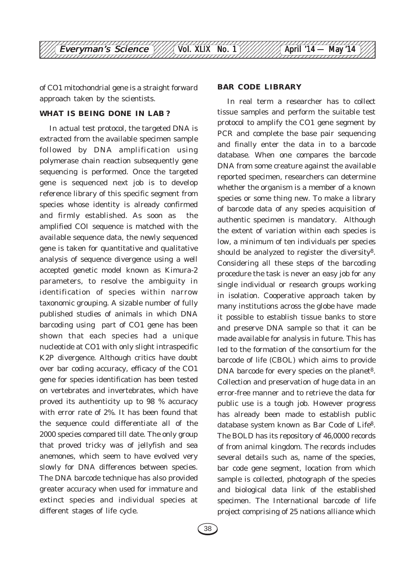

of CO1 mitochondrial gene is a straight forward approach taken by the scientists.

#### **WHAT IS BEING DONE IN LAB ?**

In actual test protocol, the targeted DNA is extracted from the available specimen sample followed by DNA amplification using polymerase chain reaction subsequently gene sequencing is performed. Once the targeted gene is sequenced next job is to develop reference library of this specific segment from species whose identity is already confirmed and firmly established. As soon as the amplified COI sequence is matched with the available sequence data, the newly sequenced gene is taken for quantitative and qualitative analysis of sequence divergence using a well accepted genetic model known as Kimura-2 parameters, to resolve the ambiguity in identification of species within narrow taxonomic grouping. A sizable number of fully published studies of animals in which DNA barcoding using part of CO1 gene has been shown that each species had a unique nucleotide at CO1 with only slight intraspecific K2P divergence. Although critics have doubt over bar coding accuracy, efficacy of the CO1 gene for species identification has been tested on vertebrates and invertebrates, which have proved its authenticity up to 98 % accuracy with error rate of 2%. It has been found that the sequence could differentiate all of the 2000 species compared till date. The only group that proved tricky was of jellyfish and sea anemones, which seem to have evolved very slowly for DNA differences between species. The DNA barcode technique has also provided greater accuracy when used for immature and extinct species and individual species at different stages of life cycle.

## 38

#### **BAR CODE LIBRARY**

In real term a researcher has to collect tissue samples and perform the suitable test protocol to amplify the CO1 gene segment by PCR and complete the base pair sequencing and finally enter the data in to a barcode database. When one compares the barcode DNA from some creature against the available reported specimen, researchers can determine whether the organism is a member of a known species or some thing new. To make a library of barcode data of any species acquisition of authentic specimen is mandatory. Although the extent of variation within each species is low, a minimum of ten individuals per species should be analyzed to register the diversity8. Considering all these steps of the barcoding procedure the task is never an easy job for any single individual or research groups working in isolation. Cooperative approach taken by many institutions across the globe have made it possible to establish tissue banks to store and preserve DNA sample so that it can be made available for analysis in future. This has led to the formation of the consortium for the barcode of life (CBOL) which aims to provide DNA barcode for every species on the planet<sup>8</sup>. Collection and preservation of huge data in an error-free manner and to retrieve the data for public use is a tough job. However progress has already been made to establish public database system known as Bar Code of Life8. The BOLD has its repository of 46,0000 records of from animal kingdom. The records includes several details such as, name of the species, bar code gene segment, location from which sample is collected, photograph of the species and biological data link of the established specimen. The International barcode of life project comprising of 25 nations alliance which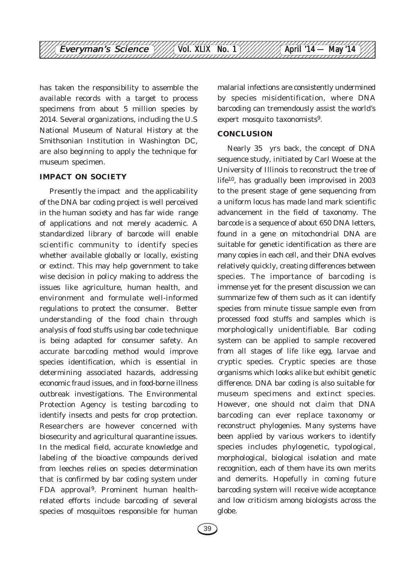

has taken the responsibility to assemble the available records with a target to process specimens from about 5 million species by 2014. Several organizations, including the U.S National Museum of Natural History at the Smithsonian Institution in Washington DC, are also beginning to apply the technique for museum specimen.

#### **IMPACT ON SOCIETY**

Presently the impact and the applicability of the DNA bar coding project is well perceived in the human society and has far wide range of applications and not merely academic. A standardized library of barcode will enable scientific community to identify species whether available globally or locally, existing or extinct. This may help government to take wise decision in policy making to address the issues like agriculture, human health, and environment and formulate well-informed regulations to protect the consumer. Better understanding of the food chain through analysis of food stuffs using bar code technique is being adapted for consumer safety. An accurate barcoding method would improve species identification, which is essential in determining associated hazards, addressing economic fraud issues, and in food-borne illness outbreak investigations. The Environmental Protection Agency is testing barcoding to identify insects and pests for crop protection. Researchers are however concerned with biosecurity and agricultural quarantine issues. In the medical field, accurate knowledge and labeling of the bioactive compounds derived from leeches relies on species determination that is confirmed by bar coding system under FDA approval9. Prominent human healthrelated efforts include barcoding of several species of mosquitoes responsible for human

malarial infections are consistently undermined by species misidentification, where DNA barcoding can tremendously assist the world's expert mosquito taxonomists<sup>9</sup>.

#### **CONCLUSION**

Nearly 35 yrs back, the concept of DNA sequence study, initiated by Carl Woese at the University of Illinois to reconstruct the tree of life<sup>10</sup>, has gradually been improvised in  $2003$ to the present stage of gene sequencing from a uniform locus has made land mark scientific advancement in the field of taxonomy. The barcode is a sequence of about 650 DNA letters, found in a gene on mitochondrial DNA are suitable for genetic identification as there are many copies in each cell, and their DNA evolves relatively quickly, creating differences between species. The importance of barcoding is immense yet for the present discussion we can summarize few of them such as it can identify species from minute tissue sample even from processed food stuffs and samples which is morphologically unidentifiable. Bar coding system can be applied to sample recovered from all stages of life like egg, larvae and cryptic species. Cryptic species are those organisms which looks alike but exhibit genetic difference. DNA bar coding is also suitable for museum specimens and extinct species. However, one should not claim that DNA barcoding can ever replace taxonomy or reconstruct phylogenies. Many systems have been applied by various workers to identify species includes phylogenetic, typological, morphological, biological isolation and mate recognition, each of them have its own merits and demerits. Hopefully in coming future barcoding system will receive wide acceptance and low criticism among biologists across the globe.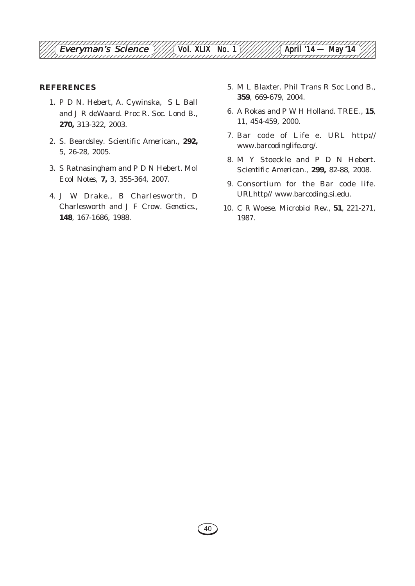#### 12345678901234567890123456789012123456789012345678901234567890121234567890123456789012345678 Vol. XLIX No. 1  $1/1$  Everyman's Science  $1/1/1$  Vol. XLIX No. 1  $1/1/1/1/1$  April '14 — May '14  $1/1/1/1$ 12345678901234567890123456789012123456789012345678901234567890121234567890123456789012345678

#### **REFERENCES**

- 1. P D N. Hebert, A. Cywinska, S L Ball and J R deWaard. *Proc R. Soc. Lond B.,* **270,** 313-322, 2003.
- 2. S. Beardsley. *Scientific American.,* **292,** 5, 26-28, 2005.
- 3. S Ratnasingham and P D N Hebert. *Mol Ecol Notes,* **7,** 3, 355-364, 2007.
- 4. J W Drake., B Charlesworth, D Charlesworth and J F Crow. *Genetics.,* **148**, 167-1686, 1988.
- 5. M L Blaxter. *Phil Trans R Soc Lond B.,* **359**, 669-679, 2004.
- 6. A Rokas and P W H Holland. *TREE*., **15**, 11, 454-459, 2000.
- 7. Bar code of Life e. URL http**:**// www.barcodinglife.org/.
- 8. M Y Stoeckle and P D N Hebert. *Scientific American*., **299,** 82-88, 2008.
- 9. Consortium for the Bar code life. URLhttp// www.barcoding.si.edu.
- 10. C R Woese. *Microbiol Rev*., **51**, 221-271, 1987.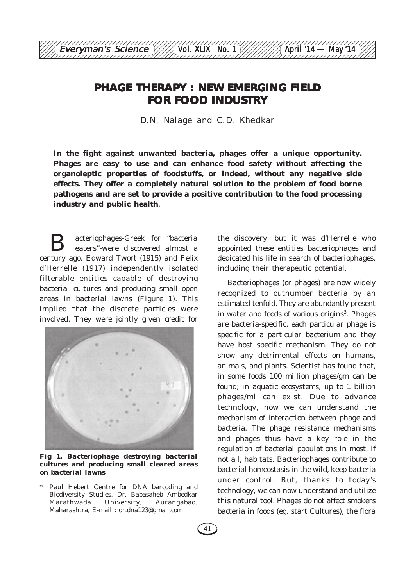## **PHAGE THERAPY : NEW EMERGING FIELD FOR FOOD INDUSTRY**

12345678901234567890123456789012123456789012345678901234567890121234567890123456789012345678  $1/12$  Everyman's Science  $1/11$  Vol. XLIX No. 1 $1/11/11$  April '14 — May '14  $1/11$ 12345678901234567890123456789012123456789012345678901234567890121234567890123456789012345678

D.N. Nalage and C.D. Khedkar

**In the fight against unwanted bacteria, phages offer a unique opportunity. Phages are easy to use and can enhance food safety without affecting the organoleptic properties of foodstuffs, or indeed, without any negative side effects. They offer a completely natural solution to the problem of food borne pathogens and are set to provide a positive contribution to the food processing industry and public health**.

acteriophages-Greek for "bacteria eaters"-were discovered almost a century ago. Edward Twort (1915) and Felix d'Herrelle (1917) independently isolated filterable entities capable of destroying bacterial cultures and producing small open areas in bacterial lawns (Figure 1). This implied that the discrete particles were involved. They were jointly given credit for



*Fig 1. Bacteriophage destroying bacterial cultures and producing small cleared areas on bacterial lawns*

the discovery, but it was d'Herrelle who appointed these entities bacteriophages and dedicated his life in search of bacteriophages, including their therapeutic potential.

Bacteriophages (or phages) are now widely recognized to outnumber bacteria by an estimated tenfold. They are abundantly present in water and foods of various origins<sup>3</sup>. Phages are bacteria-specific, each particular phage is specific for a particular bacterium and they have host specific mechanism. They do not show any detrimental effects on humans, animals, and plants. Scientist has found that, in some foods 100 million phages/gm can be found; in aquatic ecosystems, up to 1 billion phages/ml can exist. Due to advance technology, now we can understand the mechanism of interaction between phage and bacteria. The phage resistance mechanisms and phages thus have a key role in the regulation of bacterial populations in most, if not all, habitats. Bacteriophages contribute to bacterial homeostasis in the wild, keep bacteria under control. But, thanks to today's technology, we can now understand and utilize this natural tool. Phages do not affect smokers bacteria in foods (eg. start Cultures), the flora

Paul Hebert Centre for DNA barcoding and Biodiversity Studies, Dr. Babasaheb Ambedkar Marathwada University, Aurangabad, Maharashtra, E-mail : dr.dna123@gmail.com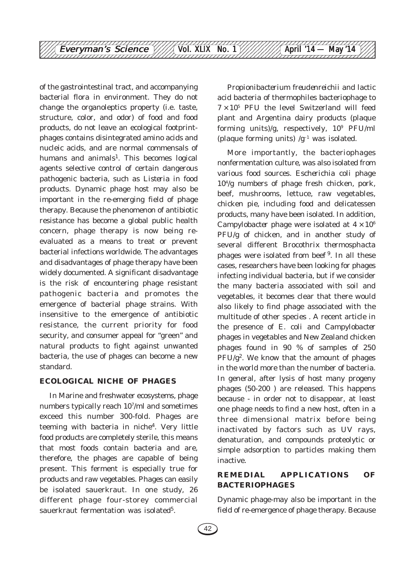

of the gastrointestinal tract, and accompanying bacterial flora in environment. They do not change the organoleptics property (i.e. taste, structure, color, and odor) of food and food products, do not leave an ecological footprintphages contains disintegrated amino acids and nucleic acids, and are normal commensals of humans and animals<sup>1</sup>. This becomes logical agents selective control of certain dangerous pathogenic bacteria, such as *Listeria* in food products. Dynamic phage host may also be important in the re-emerging field of phage therapy. Because the phenomenon of antibiotic resistance has become a global public health concern, phage therapy is now being reevaluated as a means to treat or prevent bacterial infections worldwide. The advantages and disadvantages of phage therapy have been widely documented. A significant disadvantage is the risk of encountering phage resistant pathogenic bacteria and promotes the emergence of bacterial phage strains. With insensitive to the emergence of antibiotic resistance, the current priority for food security, and consumer appeal for "green" and natural products to fight against unwanted bacteria, the use of phages can become a new standard.

#### **ECOLOGICAL NICHE OF PHAGES**

In Marine and freshwater ecosystems, phage numbers typically reach 107 /ml and sometimes exceed this number 300-fold. Phages are teeming with bacteria in niche4. Very little food products are completely sterile, this means that most foods contain bacteria and are, therefore, the phages are capable of being present. This ferment is especially true for products and raw vegetables. Phages can easily be isolated sauerkraut. In one study, 26 different phage four-storey commercial sauerkraut fermentation was isolated<sup>5</sup>.

*Propionibacterium freudenreichii* and lactic acid bacteria of thermophiles bacteriophage to  $7 \times 10^5$  PFU the level Switzerland will feed plant and Argentina dairy products (plaque forming units)/g, respectively,  $10^9$  PFU/ml (plaque forming units)  $/g^{-1}$  was isolated.

More importantly, the bacteriophages nonfermentation culture, was also isolated from various food sources. *Escherichia coli* phage 104 /g numbers of phage fresh chicken, pork, beef, mushrooms, lettuce, raw vegetables, chicken pie, including food and delicatessen products, many have been isolated. In addition, *Campylobacter* phage were isolated at  $4 \times 10^6$ PFU/g of chicken, and in another study of several different *Brocothrix thermosphacta* phages were isolated from beef 9. In all these cases, researchers have been looking for phages infecting individual bacteria, but if we consider the many bacteria associated with soil and vegetables, it becomes clear that there would also likely to find phage associated with the multitude of other species . A recent article in the presence of *E. coli* and *Campylobacter* phages in vegetables and New Zealand chicken phages found in 90 % of samples of 250  $PFU/g<sup>2</sup>$ . We know that the amount of phages in the world more than the number of bacteria. In general, after lysis of host many progeny phages (50-200 ) are released. This happens because - in order not to disappear, at least one phage needs to find a new host, often in a three dimensional matrix before being inactivated by factors such as UV rays, denaturation, and compounds proteolytic or simple adsorption to particles making them inactive.

#### **REMEDIAL APPLICATIONS OF BACTERIOPHAGES**

Dynamic phage-may also be important in the field of re-emergence of phage therapy. Because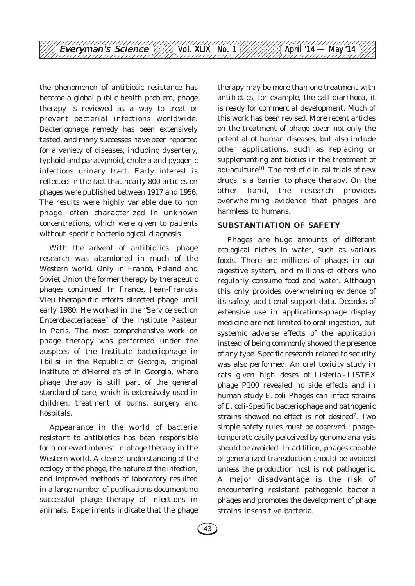

the phenomenon of antibiotic resistance has become a global public health problem, phage therapy is reviewed as a way to treat or prevent bacterial infections worldwide. Bacteriophage remedy has been extensively tested, and many successes have been reported for a variety of diseases, including dysentery, typhoid and paratyphoid, cholera and pyogenic infections urinary tract. Early interest is reflected in the fact that nearly 800 articles on phages were published between 1917 and 1956. The results were highly variable due to non phage, often characterized in unknown concentrations, which were given to patients without specific bacteriological diagnosis.

With the advent of antibiotics, phage research was abandoned in much of the Western world. Only in France, Poland and Soviet Union the former therapy by therapeutic phages continued. In France, Jean-Francois Vieu therapeutic efforts directed phage until early 1980. He worked in the "Service section Enterobacteriaceae" of the Institute Pasteur in Paris. The most comprehensive work on phage therapy was performed under the auspices of the Institute bacteriophage in Tbilisi in the Republic of Georgia, original institute of d'Herrelle's of in Georgia, where phage therapy is still part of the general standard of care, which is extensively used in children, treatment of burns, surgery and hospitals.

Appearance in the world of bacteria resistant to antibiotics has been responsible for a renewed interest in phage therapy in the Western world. A clearer understanding of the ecology of the phage, the nature of the infection, and improved methods of laboratory resulted in a large number of publications documenting successful phage therapy of infections in animals. Experiments indicate that the phage

therapy may be more than one treatment with antibiotics, for example, the calf diarrhoea, it is ready for commercial development. Much of this work has been revised. More recent articles on the treatment of phage cover not only the potential of human diseases, but also include other applications, such as replacing or supplementing antibiotics in the treatment of aquaculture<sup>10</sup>. The cost of clinical trials of new drugs is a barrier to phage therapy. On the other hand, the research provides overwhelming evidence that phages are harmless to humans.

#### **SUBSTANTIATION OF SAFETY**

Phages are huge amounts of different ecological niches in water, such as various foods. There are millions of phages in our digestive system, and millions of others who regularly consume food and water. Although this only provides overwhelming evidence of its safety, additional support data. Decades of extensive use in applications-phage display medicine are not limited to oral ingestion, but systemic adverse effects of the application instead of being commonly showed the presence of any type. Specific research related to security was also performed. An oral toxicity study in rats given high doses of *Listeria* - LISTEX phage P100 revealed no side effects and in human study *E. coli* Phages can infect strains of *E. coli*-Specific bacteriophage and pathogenic strains showed no effect is not desired<sup>7</sup>. Two simple safety rules must be observed : phagetemperate easily perceived by genome analysis should be avoided. In addition, phages capable of generalized transduction should be avoided unless the production host is not pathogenic. A major disadvantage is the risk of encountering resistant pathogenic bacteria phages and promotes the development of phage strains insensitive bacteria.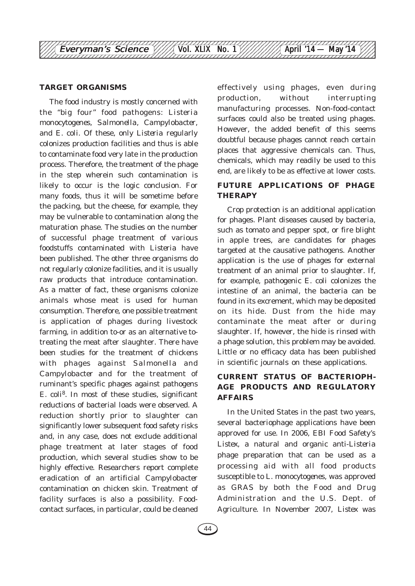

#### **TARGET ORGANISMS**

The food industry is mostly concerned with the "big four" food pathogens: *Listeria monocytogenes*, *Salmonella*, *Campylobacter*, and *E. coli*. Of these, only *Listeria* regularly colonizes production facilities and thus is able to contaminate food very late in the production process. Therefore, the treatment of the phage in the step wherein such contamination is likely to occur is the logic conclusion. For many foods, thus it will be sometime before the packing, but the cheese, for example, they may be vulnerable to contamination along the maturation phase. The studies on the number of successful phage treatment of various foodstuffs contaminated with *Listeria* have been published. The other three organisms do not regularly colonize facilities, and it is usually raw products that introduce contamination. As a matter of fact, these organisms colonize animals whose meat is used for human consumption. Therefore, one possible treatment is application of phages during livestock farming, in addition to-or as an alternative totreating the meat after slaughter. There have been studies for the treatment of chickens with phages against *Salmonella* and *Campylobacter* and for the treatment of ruminant's specific phages against pathogens *E. coli*8. In most of these studies, significant reductions of bacterial loads were observed. A reduction shortly prior to slaughter can significantly lower subsequent food safety risks and, in any case, does not exclude additional phage treatment at later stages of food production, which several studies show to be highly effective. Researchers report complete eradication of an artificial *Campylobacter* contamination on chicken skin. Treatment of facility surfaces is also a possibility. Foodcontact surfaces, in particular, could be cleaned effectively using phages, even during production, without interrupting manufacturing processes. Non-food-contact surfaces could also be treated using phages. However, the added benefit of this seems doubtful because phages cannot reach certain places that aggressive chemicals can. Thus, chemicals, which may readily be used to this end, are likely to be as effective at lower costs.

#### **FUTURE APPLICATIONS OF PHAGE THERAPY**

Crop protection is an additional application for phages. Plant diseases caused by bacteria, such as tomato and pepper spot, or fire blight in apple trees, are candidates for phages targeted at the causative pathogens. Another application is the use of phages for external treatment of an animal prior to slaughter. If, for example, pathogenic *E. coli* colonizes the intestine of an animal, the bacteria can be found in its excrement, which may be deposited on its hide. Dust from the hide may contaminate the meat after or during slaughter. If, however, the hide is rinsed with a phage solution, this problem may be avoided. Little or no efficacy data has been published in scientific journals on these applications.

#### **CURRENT STATUS OF BACTERIOPH-AGE PRODUCTS AND REGULATORY AFFAIRS**

In the United States in the past two years, several bacteriophage applications have been approved for use. In 2006, EBI Food Safety's *Listex*, a natural and organic anti-*Listeria* phage preparation that can be used as a processing aid with all food products susceptible to *L. monocytogenes*, was approved as GRAS by both the Food and Drug Administration and the U.S. Dept. of Agriculture. In November 2007, *Listex* was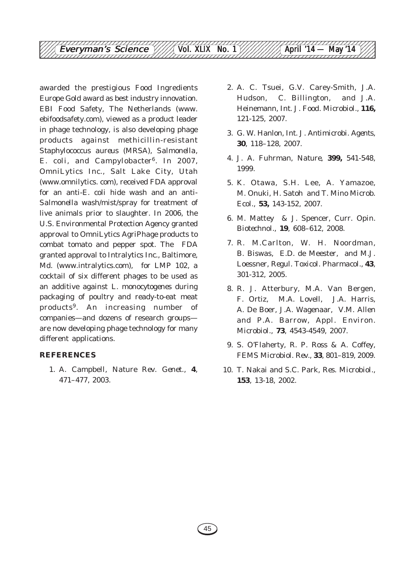#### 12345678901234567890123456789012123456789012345678901234567890121234567890123456789012345678 1234567890<del>1234567890123456789012345678901234567890123456789012345678901234567890</del>789012345678901234567890123456  $1/1$  Everyman's Science  $1/1/1$  Vol. XLIX No. 1 $1/1/1/1/1$  April '14 — May '14  $1/1/1$ 12345678901234567890123456789012123456789012345678901234567890121234567890123456789012345678

awarded the prestigious Food Ingredients Europe Gold award as best industry innovation. EBI Food Safety, The Netherlands (www. ebifoodsafety.com), viewed as a product leader in phage technology, is also developing phage products against methicillin-resistant *Staphylococcus aureus* (MRSA), *Salmonella*, *E. coli*, and *Campylobacter*6. In 2007, OmniLytics Inc., Salt Lake City, Utah (www.omnilytics. com), received FDA approval for an anti-E. coli hide wash and an anti-*Salmonella* wash/mist/spray for treatment of live animals prior to slaughter. In 2006, the U.S. Environmental Protection Agency granted approval to OmniLytics *AgriPhage* products to combat tomato and pepper spot. The FDA granted approval to Intralytics Inc., Baltimore, Md. (www.intralytics.com), for *LMP 102*, a cocktail of six different phages to be used as an additive against *L. monocytogenes* during packaging of poultry and ready-to-eat meat products9. An increasing number of companies—and dozens of research groups are now developing phage technology for many different applications.

#### **REFERENCES**

1. A. Campbell, *Nature Rev. Genet.,* **4**, 471–477, 2003.

- 2. A. C. Tsuei, G.V. Carey-Smith, J.A. Hudson, C. Billington, and J.A. Heinemann, *Int. J. Food. Microbiol.,* **116,** 121-125, 2007.
- 3. G. W. Hanlon, *Int. J. Antimicrobi. Agents,* **30**, 118–128, 2007.
- 4. J. A. Fuhrman, *Nature,* **399,** 541-548, 1999.
- 5. K. Otawa, S.H. Lee, A. Yamazoe, M. Onuki, H. Satoh and T. Mino *Microb. Ecol.,* **53,** 143-152, 2007.
- 6. M. Mattey & J. Spencer, *Curr. Opin. Biotechnol.,* **19**, 608–612, 2008.
- 7. R. M.Carlton, W. H. Noordman, B. Biswas, E.D. de Meester, and M.J. Loessner, *Regul. Toxicol. Pharmacol.,* **43**, 301-312, 2005.
- 8. R. J. Atterbury, M.A. Van Bergen, F. Ortiz, M.A. Lovell, J.A. Harris, A. De Boer, J.A. Wagenaar, V.M. Allen and P.A. Barrow, *Appl. Environ. Microbiol.,* **73**, 4543-4549, 2007.
- 9. S. O'Flaherty, R. P. Ross & A. Coffey, *FEMS Microbiol. Rev.,* **33**, 801–819, 2009.
- 10. T. Nakai and S.C. Park, *Res. Microbiol.,* **153**, 13-18, 2002.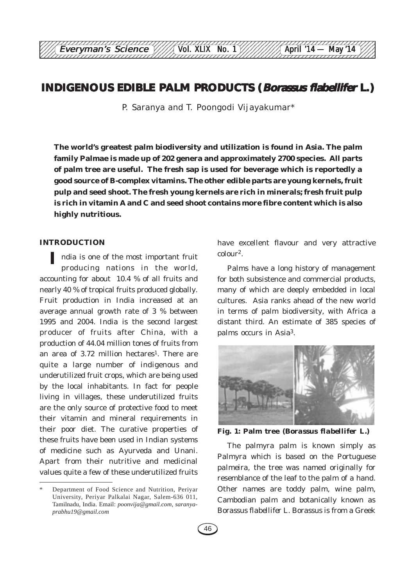## **INDIGENOUS EDIBLE PALM PRODUCTS (***Borassus flabellifer L.***)**

12345678901234567890123456789012123456789012345678901234567890121234567890123456789012345678  $1/12$  Everyman's Science  $1/11$  Vol. XLIX No. 1 $1/11/11$  April '14 — May '14  $1/11$ 12345678901234567890123456789012123456789012345678901234567890121234567890123456789012345678

P. Saranya and T. Poongodi Vijayakumar\*

**The world's greatest palm biodiversity and utilization is found in Asia. The palm family Palmae is made up of 202 genera and approximately 2700 species. All parts of palm tree are useful. The fresh sap is used for beverage which is reportedly a good source of B-complex vitamins. The other edible parts are young kernels, fruit pulp and seed shoot. The fresh young kernels are rich in minerals; fresh fruit pulp is rich in vitamin A and C and seed shoot contains more fibre content which is also highly nutritious.**

#### **INTRODUCTION**

**I** ndia is one of the most important fruit producing nations in the world, accounting for about 10.4 % of all fruits and nearly 40 % of tropical fruits produced globally. Fruit production in India increased at an average annual growth rate of 3 % between 1995 and 2004. India is the second largest producer of fruits after China, with a production of 44.04 million tones of fruits from an area of 3.72 million hectares<sup>1</sup>. There are quite a large number of indigenous and underutilized fruit crops, which are being used by the local inhabitants. In fact for people living in villages, these underutilized fruits are the only source of protective food to meet their vitamin and mineral requirements in their poor diet. The curative properties of these fruits have been used in Indian systems of medicine such as Ayurveda and Unani. Apart from their nutritive and medicinal values quite a few of these underutilized fruits have excellent flavour and very attractive colour2.

Palms have a long history of management for both subsistence and commercial products, many of which are deeply embedded in local cultures. Asia ranks ahead of the new world in terms of palm biodiversity, with Africa a distant third. An estimate of 385 species of palms occurs in Asia3.



**Fig. 1: Palm tree (***Borassus flabellifer* **L.)**

The palmyra palm is known simply as Palmyra which is based on the Portuguese *palmeira*, the tree was named originally for resemblance of the leaf to the palm of a hand. Other names are toddy palm, wine palm, Cambodian palm and botanically known as *Borassus flabellifer* L. *Borassus* is from a Greek

Department of Food Science and Nutrition, Periyar University, Periyar Palkalai Nagar, Salem-636 011, Tamilnadu, India. Email: *poonvija@gmail.com, saranyaprabhu19@gmail.com*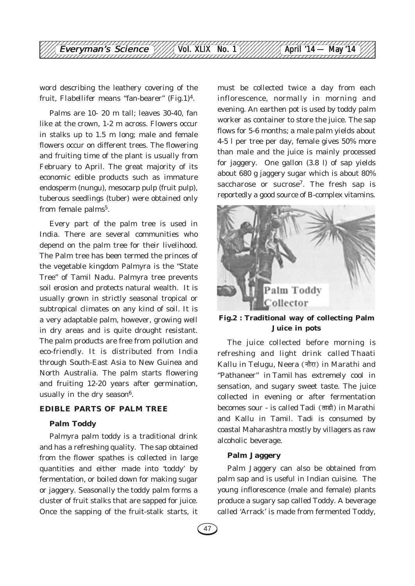

word describing the leathery covering of the fruit, *Flabellifer* means "fan-bearer" (Fig.1)4.

Palms are 10- 20 m tall; leaves 30-40, fan like at the crown, 1-2 m across. Flowers occur in stalks up to 1.5 m long; male and female flowers occur on different trees. The flowering and fruiting time of the plant is usually from February to April. The great majority of its economic edible products such as immature endosperm (nungu), mesocarp pulp (fruit pulp), tuberous seedlings (tuber) were obtained only from female palms<sup>5</sup>.

Every part of the palm tree is used in India. There are several communities who depend on the palm tree for their livelihood. The Palm tree has been termed the princes of the vegetable kingdom Palmyra is the "State Tree" of Tamil Nadu. Palmyra tree prevents soil erosion and protects natural wealth. It is usually grown in strictly seasonal tropical or subtropical climates on any kind of soil. It is a very adaptable palm, however, growing well in dry areas and is quite drought resistant. The palm products are free from pollution and eco-friendly. It is distributed from India through South-East Asia to New Guinea and North Australia. The palm starts flowering and fruiting 12-20 years after germination, usually in the dry season<sup>6</sup>.

#### **EDIBLE PARTS OF PALM TREE**

#### **Palm Toddy**

Palmyra palm toddy is a traditional drink and has a refreshing quality. The sap obtained from the flower spathes is collected in large quantities and either made into 'toddy' by fermentation, or boiled down for making sugar or jaggery. Seasonally the toddy palm forms a cluster of fruit stalks that are sapped for juice. Once the sapping of the fruit-stalk starts, it must be collected twice a day from each inflorescence, normally in morning and evening. An earthen pot is used by toddy palm worker as container to store the juice. The sap flows for 5-6 months; a male palm yields about 4-5 l per tree per day, female gives 50% more than male and the juice is mainly processed for jaggery. One gallon (3.8 l) of sap yields about 680 g jaggery sugar which is about 80% saccharose or sucrose<sup>7</sup>. The fresh sap is reportedly a good source of B-complex vitamins.



**Fig.2 : Traditional way of collecting Palm Juice in pots**

The juice collected before morning is refreshing and light drink called Thaati Kallu in Telugu, Neera (नीरा) in Marathi and "Pathaneer" in Tamil has extremely cool in sensation, and sugary sweet taste. The juice collected in evening or after fermentation becomes sour - is called Tadi **(∂FF∞U)** in Marathi and Kallu in Tamil. Tadi is consumed by coastal Maharashtra mostly by villagers as raw alcoholic beverage.

#### **Palm Jaggery**

Palm Jaggery can also be obtained from palm sap and is useful in Indian cuisine. The young inflorescence (male and female) plants produce a sugary sap called Toddy. A beverage called 'Arrack' is made from fermented Toddy,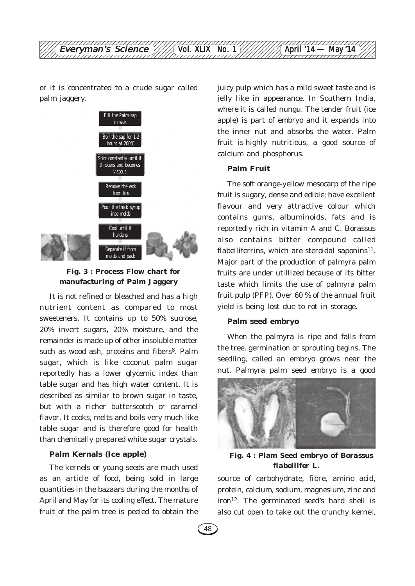

or it is concentrated to a crude sugar called palm jaggery.



**Fig. 3 : Process Flow chart for manufacturing of Palm Jaggery**

It is not refined or bleached and has a high nutrient content as compared to most sweeteners. It contains up to 50% sucrose, 20% invert sugars, 20% moisture, and the remainder is made up of other insoluble matter such as wood ash, proteins and fibers<sup>8</sup>. Palm sugar, which is like coconut palm sugar reportedly has a lower glycemic index than table sugar and has high water content. It is described as similar to brown sugar in taste, but with a richer butterscotch or caramel flavor. It cooks, melts and boils very much like table sugar and is therefore good for health than chemically prepared white sugar crystals.

#### **Palm Kernals (Ice apple)**

The kernels or young seeds are much used as an article of food, being sold in large quantities in the bazaars during the months of April and May for its cooling effect. The mature fruit of the palm tree is peeled to obtain the

juicy pulp which has a mild sweet taste and is jelly like in appearance. In Southern India, where it is called *nungu*. The tender fruit (ice apple) is part of embryo and it expands into the inner nut and absorbs the water. Palm fruit is highly nutritious, a good source of calcium and phosphorus.

#### **Palm Fruit**

The soft orange-yellow mesocarp of the ripe fruit is sugary, dense and edible; have excellent flavour and very attractive colour which contains gums, albuminoids, fats and is reportedly rich in vitamin A and C. *Borassus* also contains bitter compound called flabelliferrins, which are steroidal saponins<sup>11</sup>. Major part of the production of palmyra palm fruits are under utillized because of its bitter taste which limits the use of palmyra palm fruit pulp (PFP). Over 60 % of the annual fruit yield is being lost due to rot in storage.

#### **Palm seed embryo**

When the palmyra is ripe and falls from the tree, germination or sprouting begins. The seedling, called an embryo grows near the nut. Palmyra palm seed embryo is a good



**Fig. 4 : Plam Seed embryo of** *Borassus flabellifer* **L.**

source of carbohydrate, fibre, amino acid, protein, calcium, sodium, magnesium, zinc and iron12. The germinated seed's hard shell is also cut open to take out the crunchy kernel,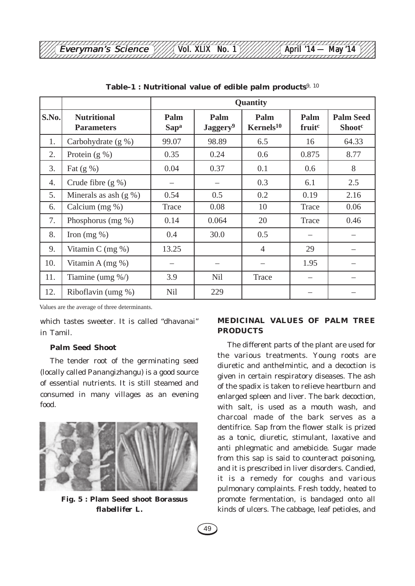|  | Evervman's Science |  | 'N |  |  |
|--|--------------------|--|----|--|--|
|  |                    |  |    |  |  |

|                                                  |                              | <b>Quantity</b>          |                              |                             |                            |                                               |  |  |  |
|--------------------------------------------------|------------------------------|--------------------------|------------------------------|-----------------------------|----------------------------|-----------------------------------------------|--|--|--|
| S.No.<br><b>Nutritional</b><br><b>Parameters</b> |                              | Palm<br>Sap <sup>a</sup> | Palm<br>Jaggery <sup>9</sup> | Palm<br>$\rm{Kernels}^{10}$ | Palm<br>fruit <sup>c</sup> | <b>Palm Seed</b><br><b>Shoot</b> <sup>c</sup> |  |  |  |
| 1.                                               | Carbohydrate $(g %)$         | 99.07                    | 98.89                        | 6.5                         | 16                         | 64.33                                         |  |  |  |
| 2.                                               | Protein $(g %)$              | 0.35                     | 0.24                         | 0.6                         | 0.875                      | 8.77                                          |  |  |  |
| 3.                                               | Fat $(g %)$                  | 0.04                     | 0.37                         | 0.1                         | 0.6                        | 8                                             |  |  |  |
| 4.                                               | Crude fibre $(g %)$          | $\qquad \qquad -$        |                              | 0.3                         | 6.1                        | 2.5                                           |  |  |  |
| 5.                                               | Minerals as ash $(g %)$      | 0.54                     | 0.5                          | 0.2                         | 0.19                       | 2.16                                          |  |  |  |
| 6.                                               | Calcium $(mg \%)$            | Trace                    | 0.08                         | 10                          | Trace                      | 0.06                                          |  |  |  |
| 7.                                               | Phosphorus (mg %)            | 0.14                     | 0.064                        | 20                          | Trace                      | 0.46                                          |  |  |  |
| 8.                                               | Iron $(mg \%)$               | 0.4                      | 30.0                         | 0.5                         |                            |                                               |  |  |  |
| 9.                                               | Vitamin $C$ (mg $\%$ )       | 13.25                    |                              | $\overline{4}$              | 29                         |                                               |  |  |  |
| 10.                                              | Vitamin A $(mg \%)$          |                          |                              |                             | 1.95                       |                                               |  |  |  |
| 11.                                              | Tiamine (umg $\frac{\%}{\)}$ | 3.9                      | <b>Nil</b>                   | Trace                       |                            |                                               |  |  |  |
| 12.                                              | Riboflavin (umg %)           | <b>Nil</b>               | 229                          |                             |                            |                                               |  |  |  |

**Table–1 : Nutritional value of edible palm products**9, 10

Values are the average of three determinants.

which tastes sweeter. It is called "dhavanai" in Tamil.

#### **Palm Seed Shoot**

The tender root of the germinating seed (locally called *Panangizhangu*) is a good source of essential nutrients. It is still steamed and consumed in many villages as an evening food.



**Fig. 5 : Plam Seed shoot** *Borassus flabellifer* **L.**

#### **MEDICINAL VALUES OF PALM TREE PRODUCTS**

The different parts of the plant are used for the various treatments. Young roots are diuretic and anthelmintic, and a decoction is given in certain respiratory diseases. The ash of the spadix is taken to relieve heartburn and enlarged spleen and liver. The bark decoction, with salt, is used as a mouth wash, and charcoal made of the bark serves as a dentifrice. Sap from the flower stalk is prized as a tonic, diuretic, stimulant, laxative and anti phlegmatic and amebicide. Sugar made from this sap is said to counteract poisoning, and it is prescribed in liver disorders. Candied, it is a remedy for coughs and various pulmonary complaints. Fresh toddy, heated to promote fermentation, is bandaged onto all kinds of ulcers. The cabbage, leaf petioles, and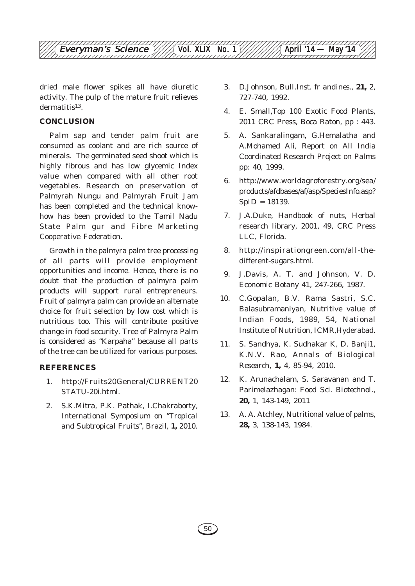

dried male flower spikes all have diuretic activity. The pulp of the mature fruit relieves  $d$ ermatitis<sup>13</sup>.

#### **CONCLUSION**

Palm sap and tender palm fruit are consumed as coolant and are rich source of minerals. The germinated seed shoot which is highly fibrous and has low glycemic Index value when compared with all other root vegetables. Research on preservation of Palmyrah Nungu and Palmyrah Fruit Jam has been completed and the technical knowhow has been provided to the Tamil Nadu State Palm gur and Fibre Marketing Cooperative Federation.

Growth in the palmyra palm tree processing of all parts will provide employment opportunities and income. Hence, there is no doubt that the production of palmyra palm products will support rural entrepreneurs. Fruit of palmyra palm can provide an alternate choice for fruit selection by low cost which is nutritious too. This will contribute positive change in food security. Tree of Palmyra Palm is considered as "Karpaha" because all parts of the tree can be utilized for various purposes.

#### **REFERENCES**

- 1. http://Fruits20General/CURRENT20 STATU-20i.html.
- 2. S.K.Mitra, P.K. Pathak, I.Chakraborty, International Symposium on "*Tropical and Subtropical Fruits"*, Brazil, **1,** 2010.
- 3. D.Johnson, *Bull.Inst. fr andines*., **21,** 2, 727-740, 1992.
- 4. E. Small,Top 100 Exotic Food Plants, 2011 CRC Press, Boca Raton, pp : 443.
- 5. A. Sankaralingam, G.Hemalatha and A.Mohamed Ali, Report on All India Coordinated Research Project on Palms pp: 40, 1999.
- 6. http://www.worldagroforestry.org/sea/ products/afdbases/af/asp/SpeciesInfo.asp? SpID = 18139.
- 7. J.A.Duke, Handbook of nuts, Herbal research library, 2001, 49, CRC Press LLC, Florida.
- 8. http://inspirationgreen.com/all-thedifferent-sugars.html.
- 9. J.Davis, A. T. and Johnson, V. D. *Economic Botany* 41, 247-266, 1987.
- 10. C.Gopalan, B.V. Rama Sastri, S.C. Balasubramaniyan, Nutritive value of Indian Foods, 1989, 54, National Institute of Nutrition, ICMR,Hyderabad.
- 11. S. Sandhya, K. Sudhakar K, D. Banji1, K.N.V. Rao, *Annals of Biological Research*, **1,** 4, 85-94, 2010.
- 12. K. Arunachalam, S. Saravanan and T. Parimelazhagan: *Food Sci. Biotechnol.,* **20,** 1, 143-149, 2011
- 13. A. A. Atchley, Nutritional value of palms, **28,** 3, 138-143, 1984.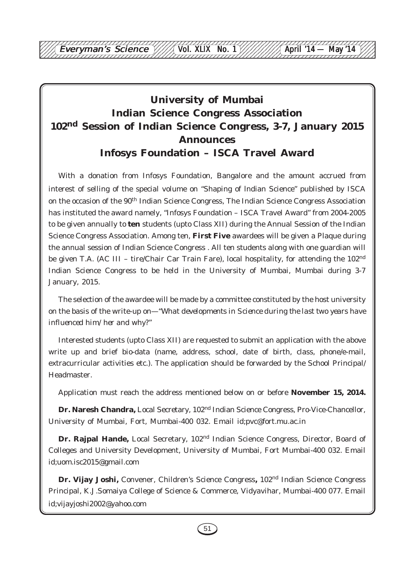#### 12345678901234567890123456789012123456789012345678901234567890121234567890123456789012345678 Everyman's Science ///// Vol. XLIX No. 1 ///////// April '14 — May '14 ////

## **University of Mumbai Indian Science Congress Association 102nd Session of Indian Science Congress, 3-7, January 2015 Announces Infosys Foundation – ISCA Travel Award**

With a donation from Infosys Foundation, Bangalore and the amount accrued from interest of selling of the special volume on "Shaping of lndian Science" published by ISCA on the occasion of the 90<sup>th</sup> Indian Science Congress, The Indian Science Congress Association has instituted the award namely, "Infosys Foundation – ISCA Travel Award" from 2004-2005 to be given annually to **ten** students (upto Class XII) during the Annual Session of the Indian Science Congress Association. Among ten, **First Five** awardees will be given a Plaque during the annual session of Indian Science Congress . All ten students along with one guardian will be given T.A. (AC III – tire/Chair Car Train Fare), local hospitality, for attending the 102<sup>nd</sup> Indian Science Congress to be held in the University of Mumbai, Mumbai during 3-7 January, 2015.

The selection of the awardee will be made by a committee constituted by the host university on the basis of the write-up on—"*What developments in Science during the last two years have influenced him/her and why*?"

Interested students (upto Class XII) are requested to submit an application with the above write up and brief bio-data (name, address, school, date of birth, class, phone/e-mail, extracurricular activities etc.). The application should be forwarded by the School Principal/ Headmaster.

Application must reach the address mentioned below on or before **November 15, 2014.**

**Dr. Naresh Chandra,** Local Secretary, 102nd Indian Science Congress, Pro-Vice-Chancellor, University of Mumbai, Fort, Mumbai-400 032. Email id;pvc@fort.mu.ac.in

**Dr. Rajpal Hande,** Local Secretary, 102nd Indian Science Congress, Director, Board of Colleges and University Development, University of Mumbai, Fort Mumbai-400 032. Email id;uom.isc2015@gmail.com

**Dr. Vijay Joshi,** Convener, Children's Science Congress**,** 102nd Indian Science Congress Principal, K.J.Somaiya College of Science & Commerce, Vidyavihar, Mumbai-400 077. Email id;vijayjoshi2002@yahoo.com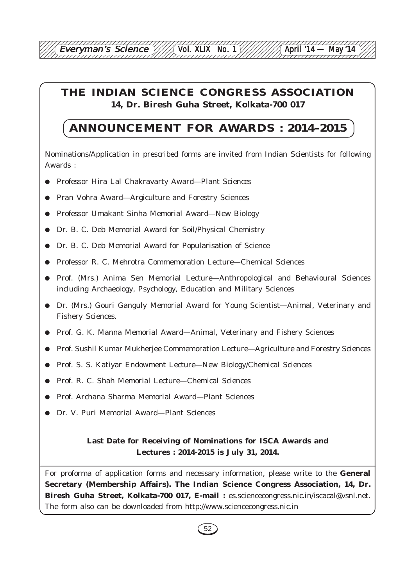## **THE INDIAN SCIENCE CONGRESS ASSOCIATION 14, Dr. Biresh Guha Street, Kolkata-700 017**

12345678901234567890123456789012123456789012345678901234567890121234567890123456789012345678 Everyman's Science ///// Vol. XLIX No. 1 ///////// April '14 — May '14 ////

## **ANNOUNCEMENT FOR AWARDS : 2014–2015**

Nominations/Application in prescribed forms are invited from Indian Scientists for following Awards :

- Professor Hira Lal Chakravarty Award—Plant Sciences
- Pran Vohra Award—Argiculture and Forestry Sciences
- Professor Umakant Sinha Memorial Award-New Biology
- Dr. B. C. Deb Memorial Award for Soil/Physical Chemistry
- Dr. B. C. Deb Memorial Award for Popularisation of Science
- Professor R. C. Mehrotra Commemoration Lecture—Chemical Sciences
- Prof. (Mrs.) Anima Sen Memorial Lecture—Anthropological and Behavioural Sciences including Archaeology, Psychology, Education and Military Sciences
- Dr. (Mrs.) Gouri Ganguly Memorial Award for Young Scientist—Animal, Veterinary and Fishery Sciences.
- Prof. G. K. Manna Memorial Award—Animal, Veterinary and Fishery Sciences
- Prof. Sushil Kumar Mukherjee Commemoration Lecture—Agriculture and Forestry Sciences
- Prof. S. S. Katiyar Endowment Lecture—New Biology/Chemical Sciences
- Prof. R. C. Shah Memorial Lecture—Chemical Sciences
- Prof. Archana Sharma Memorial Award-Plant Sciences
- Dr. V. Puri Memorial Award—Plant Sciences

## **Last Date for Receiving of Nominations for ISCA Awards and Lectures : 2014-2015 is July 31, 2014.**

For proforma of application forms and necessary information, please write to the **General Secretary (Membership Affairs). The Indian Science Congress Association, 14, Dr. Biresh Guha Street, Kolkata-700 017, E-mail :** es.sciencecongress.nic.in/iscacal@vsnl.net. The form also can be downloaded from http://www.sciencecongress.nic.in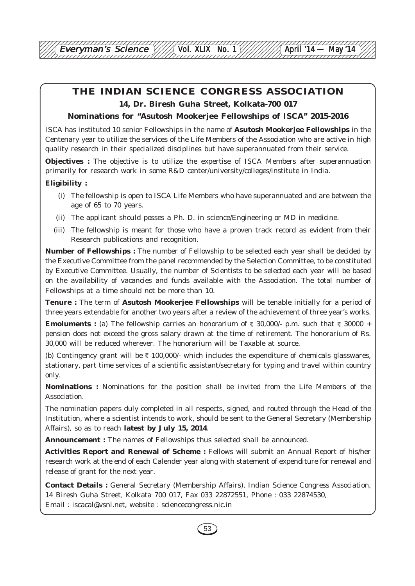12345678901234567890123456789012123456789012345678901234567890121234567890123456789012345678 Everyman's Science ///// Vol. XLIX No. 1 ///////// April '14 — May '14 ////

### **THE INDIAN SCIENCE CONGRESS ASSOCIATION 14, Dr. Biresh Guha Street, Kolkata-700 017**

#### **Nominations for ''Asutosh Mookerjee Fellowships of ISCA'' 2015-2016**

ISCA has instituted 10 senior Fellowships in the name of **Asutosh Mookerjee Fellowships** in the Centenary year to utilize the services of the Life Members of the Association who are active in high quality research in their specialized disciplines but have superannuated from their service.

**Objectives :** The objective is to utilize the expertise of ISCA Members after superannuation primarily for research work in some R&D center/university/colleges/institute in India.

#### **Eligibility :**

- (i) The fellowship is open to ISCA Life Members who have superannuated and are between the age of 65 to 70 years.
- (ii) The applicant should posses a Ph. D. in science/Engineering or MD in medicine.
- (iii) The fellowship is meant for those who have a proven track record as evident from their Research publications and recognition.

**Number of Fellowships :** The number of Fellowship to be selected each year shall be decided by the Executive Committee from the panel recommended by the Selection Committee, to be constituted by Executive Committee. Usually, the number of Scientists to be selected each year will be based on the availability of vacancies and funds available with the Association. The total number of Fellowships at a time should not be more than 10.

**Tenure :** The term of **Asutosh Mookerjee Fellowships** will be tenable initially for a period of three years extendable for another two years after a review of the achievement of three year's works.

**Emoluments :** (a) The fellowship carries an honorarium of  $\overline{x}$  30,000/- p.m. such that  $\overline{x}$  30000 + pension does not exceed the gross salary drawn at the time of retirement. The honorarium of Rs. 30,000 will be reduced wherever. The honorarium will be Taxable at source.

(b) Contingency grant will be  $\overline{\tau}$  100,000/- which includes the expenditure of chemicals glasswares, stationary, part time services of a scientific assistant/secretary for typing and travel within country only.

**Nominations :** Nominations for the position shall be invited from the Life Members of the **Association** 

The nomination papers duly completed in all respects, signed, and routed through the Head of the Institution, where a scientist intends to work, should be sent to the General Secretary (Membership Affairs), so as to reach **latest by July 15, 2014**.

**Announcement :** The names of Fellowships thus selected shall be announced.

**Activities Report and Renewal of Scheme :** Fellows will submit an Annual Report of his/her research work at the end of each Calender year along with statement of expenditure for renewal and release of grant for the next year.

**Contact Details :** General Secretary (Membership Affairs), Indian Science Congress Association, 14 Biresh Guha Street, Kolkata 700 017, Fax 033 22872551, Phone : 033 22874530, Email : iscacal@vsnl.net, website : sciencecongress.nic.in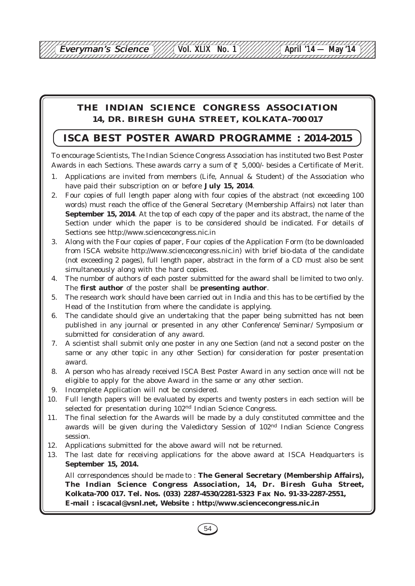## **THE INDIAN SCIENCE CONGRESS ASSOCIATION 14, DR. BIRESH GUHA STREET, KOLKATA–700 017**

12345678901234567890123456789012123456789012345678901234567890121234567890123456789012345678 Everyman's Science ///// Vol. XLIX No. 1 ///////// April '14 — May '14 ////

## **ISCA BEST POSTER AWARD PROGRAMME : 2014-2015**

To encourage Scientists, The Indian Science Congress Association has instituted two Best Poster Awards in each Sections. These awards carry a sum of  $\sqrt[m]{\ }$  5,000/- besides a Certificate of Merit.

- 1. Applications are invited from members (Life, Annual & Student) of the Association who have paid their subscription on or before **July 15, 2014**.
- 2. Four copies of full length paper along with four copies of the abstract (not exceeding 100 words) must reach the office of the General Secretary (Membership Affairs) not later than **September 15, 2014**. At the top of each copy of the paper and its abstract, the name of the Section under which the paper is to be considered should be indicated. For details of Sections see http://www.sciencecongress.nic.in
- 3. Along with the Four copies of paper, Four copies of the Application Form (to be downloaded from ISCA website http://www.sciencecongress.nic.in) with brief bio-data of the candidate (not exceeding 2 pages), full length paper, abstract in the form of a CD must also be sent simultaneously along with the hard copies.
- 4. The number of authors of each poster submitted for the award shall be limited to two only. The **first author** of the poster shall be **presenting author**.
- 5. The research work should have been carried out in India and this has to be certified by the Head of the Institution from where the candidate is applying.
- 6. The candidate should give an undertaking that the paper being submitted has not been published in any journal or presented in any other Conference/ Seminar/ Symposium or submitted for consideration of any award.
- 7. A scientist shall submit only one poster in any one Section (and not a second poster on the same or any other topic in any other Section) for consideration for poster presentation award.
- 8. A person who has already received ISCA Best Poster Award in any section once will not be eligible to apply for the above Award in the same or any other section.
- 9. Incomplete Application will not be considered.
- 10. Full length papers will be evaluated by experts and twenty posters in each section will be selected for presentation during 102<sup>nd</sup> Indian Science Congress.
- 11. The final selection for the Awards will be made by a duly constituted committee and the awards will be given during the Valedictory Session of 102nd Indian Science Congress session.
- 12. Applications submitted for the above award will not be returned.
- 13. The last date for receiving applications for the above award at ISCA Headquarters is **September 15, 2014.**

*All correspondences should be made to* : **The General Secretary (Membership Affairs), The Indian Science Congress Association, 14, Dr. Biresh Guha Street, Kolkata-700 017. Tel. Nos. (033) 2287-4530/2281-5323 Fax No. 91-33-2287-2551, E-mail : iscacal@vsnl.net, Website : http://www.sciencecongress.nic.in**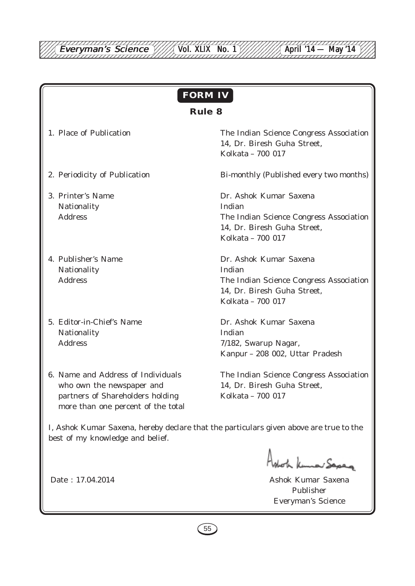## Everyman's Science ///// Vol. XLIX No. 1 ///////// April '14 — May '14 ////

**FORM IV**

12345678901234567890123456789012123456789012345678901234567890121234567890123456789012345678

**Rule 8**

1. Place of Publication The Indian Science Congress Association 14, Dr. Biresh Guha Street, Kolkata – 700 017 2. Periodicity of Publication Bi-monthly (Published every two months) 3. Printer's Name **Dr. Ashok Kumar Saxena** Nationality **Indian** Address The Indian Science Congress Association 14, Dr. Biresh Guha Street, Kolkata – 700 017 4. Publisher's Name **Dr. Ashok Kumar Saxena** Nationality **Indian** Address The Indian Science Congress Association 14, Dr. Biresh Guha Street, Kolkata – 700 017 5. Editor-in-Chief's Name **Dr. Ashok Kumar Saxena** Nationality **Indian** Address 7/182, Swarup Nagar, Kanpur – 208 002, Uttar Pradesh 6. Name and Address of Individuals The Indian Science Congress Association who own the newspaper and 14, Dr. Biresh Guha Street, partners of Shareholders holding Kolkata – 700 017 more than one percent of the total I, Ashok Kumar Saxena, hereby declare that the particulars given above are true to the best of my knowledge and belief.

oboth Kung Sa

Date : 17.04.2014 Ashok Kumar Saxena Publisher Everyman's Science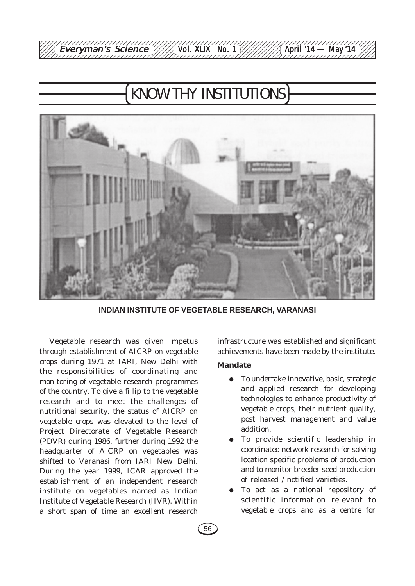

# KNOW THY INSTITUTIONS



**INDIAN INSTITUTE OF VEGETABLE RESEARCH, VARANASI**

Vegetable research was given impetus through establishment of AICRP on vegetable crops during 1971 at IARI, New Delhi with the responsibilities of coordinating and monitoring of vegetable research programmes of the country. To give a fillip to the vegetable research and to meet the challenges of nutritional security, the status of AICRP on vegetable crops was elevated to the level of Project Directorate of Vegetable Research (PDVR) during 1986, further during 1992 the headquarter of AICRP on vegetables was shifted to Varanasi from IARI New Delhi. During the year 1999, ICAR approved the establishment of an independent research institute on vegetables named as Indian Institute of Vegetable Research (IIVR). Within a short span of time an excellent research

infrastructure was established and significant achievements have been made by the institute.

#### **Mandate**

- To undertake innovative, basic, strategic and applied research for developing technologies to enhance productivity of vegetable crops, their nutrient quality, post harvest management and value addition.
- To provide scientific leadership in coordinated network research for solving location specific problems of production and to monitor breeder seed production of released / notified varieties.
- To act as a national repository of scientific information relevant to vegetable crops and as a centre for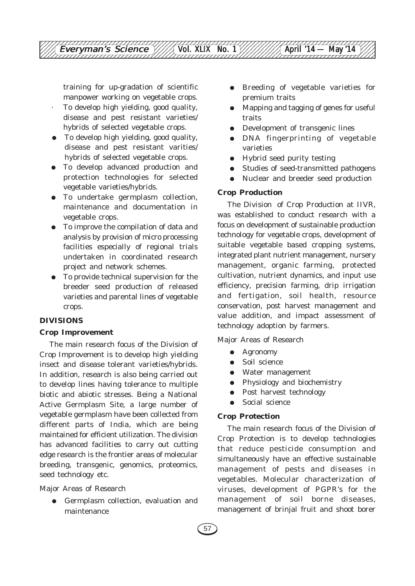#### 12345678901234567890123456789012123456789012345678901234567890121234567890123456789012345678 Everyman's Science ///// Vol. XLIX No. 1 ///////// April '14 — May '14 ////

training for up-gradation of scientific manpower working on vegetable crops.

- · To develop high yielding, good quality, disease and pest resistant varieties/ hybrids of selected vegetable crops.
- To develop high yielding, good quality, disease and pest resistant varities/ hybrids of selected vegetable crops.
- To develop advanced production and protection technologies for selected vegetable varieties/hybrids.
- To undertake germplasm collection, maintenance and documentation in vegetable crops.
- To improve the compilation of data and analysis by provision of micro processing facilities especially of regional trials undertaken in coordinated research project and network schemes.
- To provide technical supervision for the breeder seed production of released varieties and parental lines of vegetable crops.

#### **DIVISIONS**

#### **Crop Improvement**

The main research focus of the Division of Crop Improvement is to develop high yielding insect and disease tolerant varieties/hybrids. In addition, research is also being carried out to develop lines having tolerance to multiple biotic and abiotic stresses. Being a National Active Germplasm Site, a large number of vegetable germplasm have been collected from different parts of India, which are being maintained for efficient utilization. The division has advanced facilities to carry out cutting edge research is the frontier areas of molecular breeding, transgenic, genomics, proteomics, seed technology etc.

Major Areas of Research

● Germplasm collection, evaluation and maintenance

- Breeding of vegetable varieties for premium traits
- Mapping and tagging of genes for useful traits
- Development of transgenic lines
- DNA fingerprinting of vegetable varieties
- Hybrid seed purity testing
- Studies of seed-transmitted pathogens
- Nuclear and breeder seed production

#### **Crop Production**

The Division of Crop Production at IIVR, was established to conduct research with a focus on development of sustainable production technology for vegetable crops, development of suitable vegetable based cropping systems, integrated plant nutrient management, nursery management, organic farming, protected cultivation, nutrient dynamics, and input use efficiency, precision farming, drip irrigation and fertigation, soil health, resource conservation, post harvest management and value addition, and impact assessment of technology adoption by farmers.

Major Areas of Research

- Agronomy
- Soil science
- Water management
- Physiology and biochemistry
- Post harvest technology
- Social science

#### **Crop Protection**

The main research focus of the Division of Crop Protection is to develop technologies that reduce pesticide consumption and simultaneously have an effective sustainable management of pests and diseases in vegetables. Molecular characterization of viruses, development of PGPR's for the management of soil borne diseases, management of brinjal fruit and shoot borer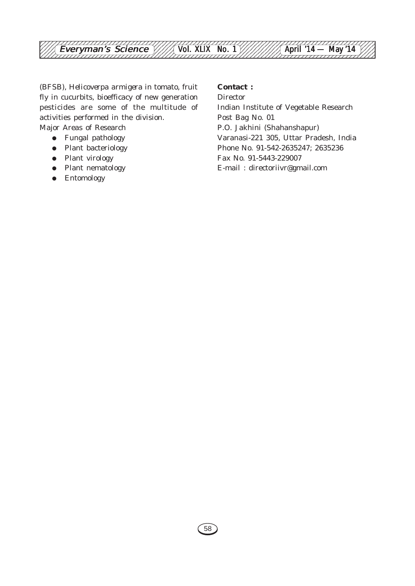

(BFSB), *Helicoverpa armigera* in tomato, fruit fly in cucurbits, bioefficacy of new generation pesticides are some of the multitude of activities performed in the division.

Major Areas of Research

- Fungal pathology
- Plant bacteriology
- Plant virology
- Plant nematology
- Entomology

#### **Contact :**

Director Indian Institute of Vegetable Research Post Bag No. 01 P.O. Jakhini (Shahanshapur) Varanasi-221 305, Uttar Pradesh, India Phone No. 91-542-2635247; 2635236 Fax No. 91-5443-229007 E-mail : directoriivr@gmail.com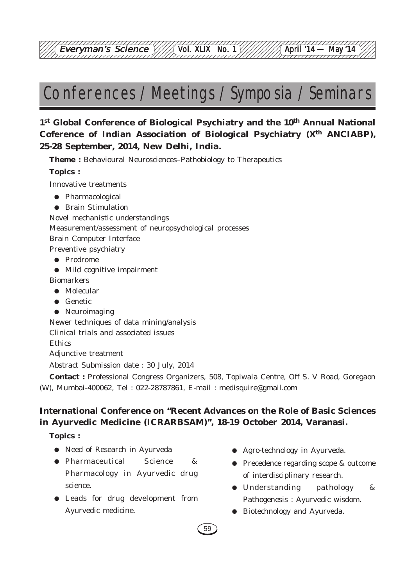# Conferences / Meetings / Symposia / Seminars

12345678901234567890123456789012123456789012345678901234567890121234567890123456789012345678 Everyman's Science ///// Vol. XLIX No. 1 ///////// April '14 — May '14 ////

## **1st Global Conference of Biological Psychiatry and the 10th Annual National** Coference of Indian Association of Biological Psychiatry (X<sup>th</sup> ANCIABP), **25-28 September, 2014, New Delhi, India.**

**Theme :** Behavioural Neurosciences–Pathobiology to Therapeutics

#### **Topics :**

Innovative treatments

- Pharmacological
- Brain Stimulation

Novel mechanistic understandings

Measurement/assessment of neuropsychological processes

Brain Computer Interface

Preventive psychiatry

- Prodrome
- Mild cognitive impairment

Biomarkers

- Molecular
- Genetic
- Neuroimaging

Newer techniques of data mining/analysis

Clinical trials and associated issues

Ethics

Adjunctive treatment

Abstract Submission date : 30 July, 2014

**Contact :** Professional Congress Organizers, 508, Topiwala Centre, Off S. V Road, Goregaon (W), Mumbai-400062, Tel : 022-28787861, E-mail : medisquire@gmail.com

## **International Conference on "Recent Advances on the Role of Basic Sciences in Ayurvedic Medicine (ICRARBSAM)", 18-19 October 2014, Varanasi.**

#### **Topics :**

- Need of Research in Ayurveda
- Pharmaceutical Science & Pharmacology in Ayurvedic drug science.
- Leads for drug development from Ayurvedic medicine.
- Agro-technology in Ayurveda.
- Precedence regarding scope & outcome of interdisciplinary research.
- Understanding pathology & Pathogenesis : Ayurvedic wisdom.
- Biotechnology and Ayurveda.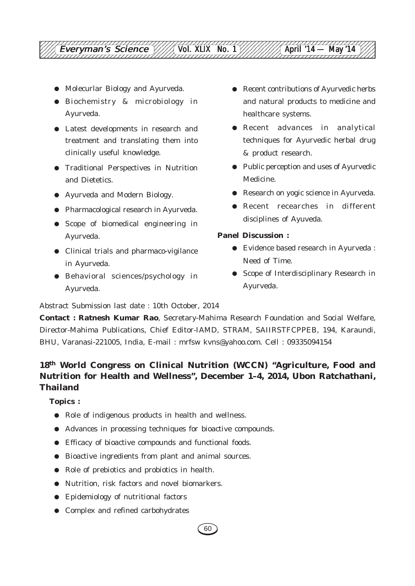12345678901234567890123456789012123456789012345678901234567890121234567890123456789012345678 Everyman's Science ///// Vol. XLIX No. 1 ///////// April '14 — May '14 ////

- Molecurlar Biology and Ayurveda.
- Biochemistry & microbiology in Ayurveda.
- Latest developments in research and treatment and translating them into clinically useful knowledge.
- Traditional Perspectives in Nutrition and Dietetics.
- Ayurveda and Modern Biology.
- Pharmacological research in Ayurveda.
- Scope of biomedical engineering in Ayurveda.
- Clinical trials and pharmaco-vigilance in Ayurveda.
- Behavioral sciences/psychology in Ayurveda.
- Recent contributions of Ayurvedic herbs and natural products to medicine and healthcare systems.
- Recent advances in analytical techniques for Ayurvedic herbal drug & product research.
- Public perception and uses of Ayurvedic Medicine.
- Research on yogic science in Ayurveda.
- Recent recearches in different disciplines of Ayuveda.

#### **Panel Discussion :**

- Evidence based research in Ayurveda : Need of Time.
- Scope of Interdisciplinary Research in Ayurveda.

Abstract Submission last date : 10th October, 2014

**Contact : Ratnesh Kumar Rao**, Secretary-Mahima Research Foundation and Social Welfare, Director-Mahima Publications, Chief Editor-IAMD, STRAM, SAIIRSTFCPPEB, 194, Karaundi, BHU, Varanasi-221005, India, E-mail : mrfsw kvns@yahoo.com. Cell : 09335094154

## **18th World Congress on Clinical Nutrition (WCCN) "Agriculture, Food and Nutrition for Health and Wellness", December 1–4, 2014, Ubon Ratchathani, Thailand**

#### **Topics :**

- Role of indigenous products in health and wellness.
- Advances in processing techniques for bioactive compounds.
- Efficacy of bioactive compounds and functional foods.
- Bioactive ingredients from plant and animal sources.
- Role of prebiotics and probiotics in health.
- Nutrition, risk factors and novel biomarkers.
- Epidemiology of nutritional factors
- Complex and refined carbohydrates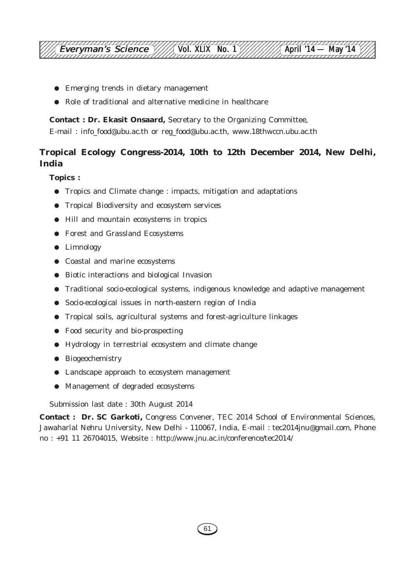#### ● Emerging trends in dietary management

● Role of traditional and alternative medicine in healthcare

#### **Contact : Dr. Ekasit Onsaard,** Secretary to the Organizing Committee,

E-mail : info\_food@ubu.ac.th or reg\_food@ubu.ac.th, www.18thwccn.ubu.ac.th

## **Tropical Ecology Congress-2014, 10th to 12th December 2014, New Delhi, India**

12345678901234567890123456789012123456789012345678901234567890121234567890123456789012345678 Everyman's Science ///// Vol. XLIX No. 1 ///////// April '14 — May '14 ////

**Topics :**

- Tropics and Climate change : impacts, mitigation and adaptations
- Tropical Biodiversity and ecosystem services
- Hill and mountain ecosystems in tropics
- Forest and Grassland Ecosystems
- Limnology
- Coastal and marine ecosystems
- Biotic interactions and biological Invasion
- Traditional socio-ecological systems, indigenous knowledge and adaptive management
- Socio-ecological issues in north-eastern region of India
- Tropical soils, agricultural systems and forest-agriculture linkages
- Food security and bio-prospecting
- Hydrology in terrestrial ecosystem and climate change
- Biogeochemistry
- Landscape approach to ecosystem management
- Management of degraded ecosystems

Submission last date : 30th August 2014

**Contact : Dr. SC Garkoti,** Congress Convener, TEC 2014 School of Environmental Sciences, Jawaharlal Nehru University, New Delhi - 110067, India, E-mail : tec2014jnu@gmail.com, Phone no : +91 11 26704015, Website : http://www.jnu.ac.in/conference/tec2014/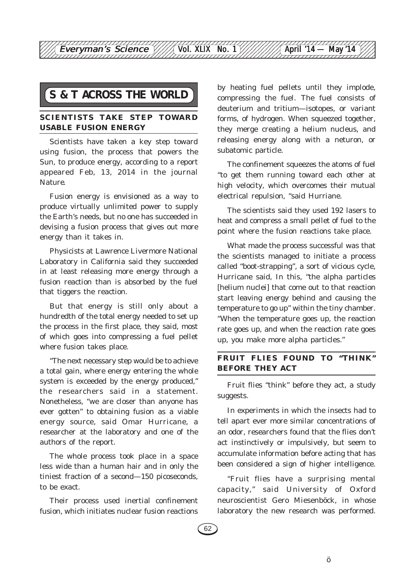12345678901234567890123456789012123456789012345678901234567890121234567890123456789012345678 Everyman's Science ///// Vol. XLIX No. 1 ///////// April '14 — May '14 ////

#### **SCIENTISTS TAKE STEP TOWARD USABLE FUSION ENERGY**

Scientists have taken a key step toward using fusion, the process that powers the Sun, to produce energy, according to a report appeared Feb, 13, 2014 in the journal *Nature*.

Fusion energy is envisioned as a way to produce virtually unlimited power to supply the Earth's needs, but no one has succeeded in devising a fusion process that gives out more energy than it takes in.

Physicists at Lawrence Livermore National Laboratory in California said they succeeded in at least releasing more energy through a fusion reaction than is absorbed by the fuel that tiggers the reaction.

But that energy is still only about a hundredth of the total energy needed to set up the process in the first place, they said, most of which goes into compressing a fuel pellet where fusion takes place.

"The next necessary step would be to achieve a total gain, where energy entering the whole system is exceeded by the energy produced," the researchers said in a statement. Nonetheless, "we are closer than anyone has ever gotten" to obtaining fusion as a viable energy source, said Omar Hurricane, a researcher at the laboratory and one of the authors of the report.

The whole process took place in a space less wide than a human hair and in only the tiniest fraction of a second—150 picoseconds, to be exact.

Their process used inertial confinement fusion, which initiates nuclear fusion reactions

**S & T ACROSS THE WORLD** by heating fuel pellets until they implode, compressing the fuel. The fuel consists of deuterium and tritium—isotopes, or variant forms, of hydrogen. When squeezed together, they merge creating a helium nucleus, and releasing energy along with a neturon, or subatomic particle.

> The confinement squeezes the atoms of fuel "to get them running toward each other at high velocity, which overcomes their mutual electrical repulsion, "said Hurriane.

> The scientists said they used 192 lasers to heat and compress a small pellet of fuel to the point where the fusion reactions take place.

> What made the process successful was that the scientists managed to initiate a process called "boot-strapping", a sort of vicious cycle, Hurricane said, In this, "the alpha particles [helium nuclei] that come out to that reaction start leaving energy behind and causing the temperature to go up" within the tiny chamber. "When the temperature goes up, the reaction rate goes up, and when the reaction rate goes up, you make more alpha particles."

#### **FRUIT FLIES FOUND TO "THINK" BEFORE THEY ACT**

Fruit flies "think" before they act, a study suggests.

In experiments in which the insects had to tell apart ever more similar concentrations of an odor, researchers found that the flies don't act instinctively or impulsively, but seem to accumulate information before acting that has been considered a sign of higher intelligence.

"Fruit flies have a surprising mental capacity," said University of Oxford neuroscientist Gero Miesenböck, in whose laboratory the new research was performed.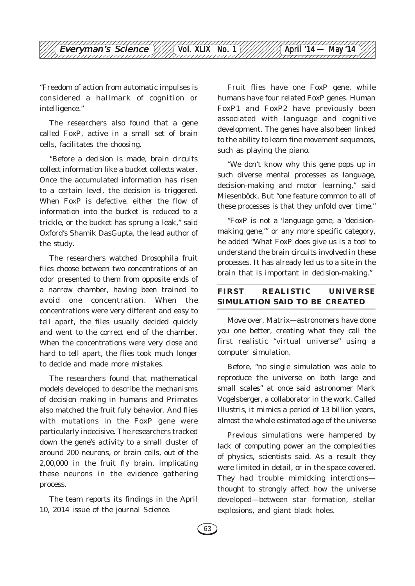

"Freedom of action from automatic impulses is considered a hallmark of cognition or intelligence."

The researchers also found that a gene called FoxP, active in a small set of brain cells, facilitates the choosing.

"Before a decision is made, brain circuits collect information like a bucket collects water. Once the accumulated information has risen to a certain level, the decision is triggered. When FoxP is defective, either the flow of information into the bucket is reduced to a trickle, or the bucket has sprung a leak," said Oxford's Shamik DasGupta, the lead author of the study.

The researchers watched *Drosophila* fruit flies choose between two concentrations of an odor presented to them from opposite ends of a narrow chamber, having been trained to avoid one concentration. When the concentrations were very different and easy to tell apart, the files usually decided quickly and went to the correct end of the chamber. When the concentrations were very close and hard to tell apart, the flies took much longer to decide and made more mistakes.

The researchers found that mathematical models developed to describe the mechanisms of decision making in humans and Primates also matched the fruit fuly behavior. And flies with mutations in the FoxP gene were particularly indecisive. The researchers tracked down the gene's activity to a small cluster of around 200 neurons, or brain cells, out of the 2,00,000 in the fruit fly brain, implicating these neurons in the evidence gathering process.

The team reports its findings in the April 10, 2014 issue of the journal *Science*.

Fruit flies have one FoxP gene, while humans have four related FoxP genes. Human FoxP1 and FoxP2 have previously been associated with language and cognitive development. The genes have also been linked to the ability to learn fine movement sequences, such as playing the piano.

"We don't know why this gene pops up in such diverse mental processes as language, decision-making and motor learning," said Miesenböck, But "one feature common to all of these processes is that they unfold over time."

"FoxP is not a 'language gene, a 'decisionmaking gene,'" or any more specific category, he added "What FoxP does give us is a tool to understand the brain circuits involved in these processes. It has already led us to a site in the brain that is important in decision-making."

#### **FIRST REALISTIC UNIVERSE SIMULATION SAID TO BE CREATED**

Move over, Matrix—astronomers have done you one better, creating what they call the first realistic "virtual universe" using a computer simulation.

Before, "no single simulation was able to reproduce the universe on both large and small scales" at once said astronomer Mark Vogelsberger, a collaborator in the work. Called Illustris, it mimics a period of 13 billion years, almost the whole estimated age of the universe

Previous simulations were hampered by lack of computing power an the complexities of physics, scientists said. As a result they were limited in detail, or in the space covered. They had trouble mimicking interctions thought to strongly affect how the universe developed—between star formation, stellar explosions, and giant black holes.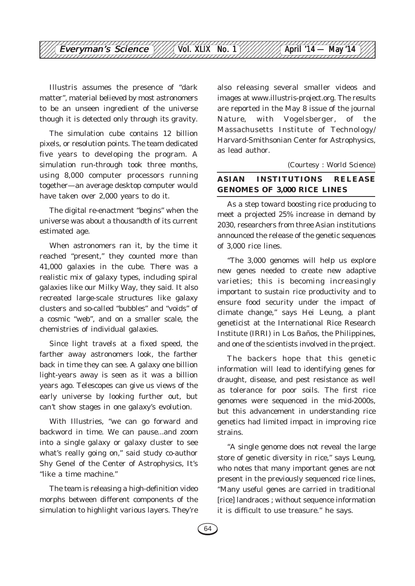

Illustris assumes the presence of "dark matter", material believed by most astronomers to be an unseen ingredient of the universe though it is detected only through its gravity.

The simulation cube contains 12 billion pixels, or resolution points. The team dedicated five years to developing the program. A simulation run-through took three months, using 8,000 computer processors running together—an average desktop computer would have taken over 2,000 years to do it.

The digital re-enactment "begins" when the universe was about a thousandth of its current estimated age.

When astronomers ran it, by the time it reached "present," they counted more than 41,000 galaxies in the cube. There was a realistic mix of galaxy types, including spiral galaxies like our Milky Way, they said. It also recreated large-scale structures like galaxy clusters and so-called "bubbles" and "voids" of a cosmic "web", and on a smaller scale, the chemistries of individual galaxies.

Since light travels at a fixed speed, the farther away astronomers look, the farther back in time they can see. A galaxy one billion light-years away is seen as it was a billion years ago. Telescopes can give us views of the early universe by looking further out, but can't show stages in one galaxy's evolution.

With Illustries, "we can go forward and backword in time. We can pause...and zoom into a single galaxy or galaxy cluster to see what's really going on," said study co-author Shy Genel of the Center of Astrophysics, It's "like a time machine."

The team is releasing a high-definition video morphs between different components of the simulation to highlight various layers. They're also releasing several smaller videos and images at www.illustris-project.org. The results are reported in the May 8 issue of the journal *Nature*, with Vogelsberger, of the Massachusetts Institute of Technology/ Harvard-Smithsonian Center for Astrophysics, as lead author.

(Courtesy : World Science)

#### **ASIAN INSTITUTIONS RELEASE GENOMES OF 3,000 RICE LINES**

As a step toward boosting rice producing to meet a projected 25% increase in demand by 2030, researchers from three Asian institutions announced the release of the genetic sequences of 3,000 rice lines.

"The 3,000 genomes will help us explore new genes needed to create new adaptive varieties; this is becoming increasingly important to sustain rice productivity and to ensure food security under the impact of climate change," says Hei Leung, a plant geneticist at the International Rice Research Institute (IRRI) in Los Baños, the Philippines, and one of the scientists involved in the project.

The backers hope that this genetic information will lead to identifying genes for draught, disease, and pest resistance as well as tolerance for poor soils. The first rice genomes were sequenced in the mid-2000s, but this advancement in understanding rice genetics had limited impact in improving rice strains.

"A single genome does not reveal the large store of genetic diversity in rice," says Leung, who notes that many important genes are not present in the previously sequenced rice lines, "Many useful genes are carried in traditional [rice] landraces ; without sequence information it is difficult to use treasure." he says.